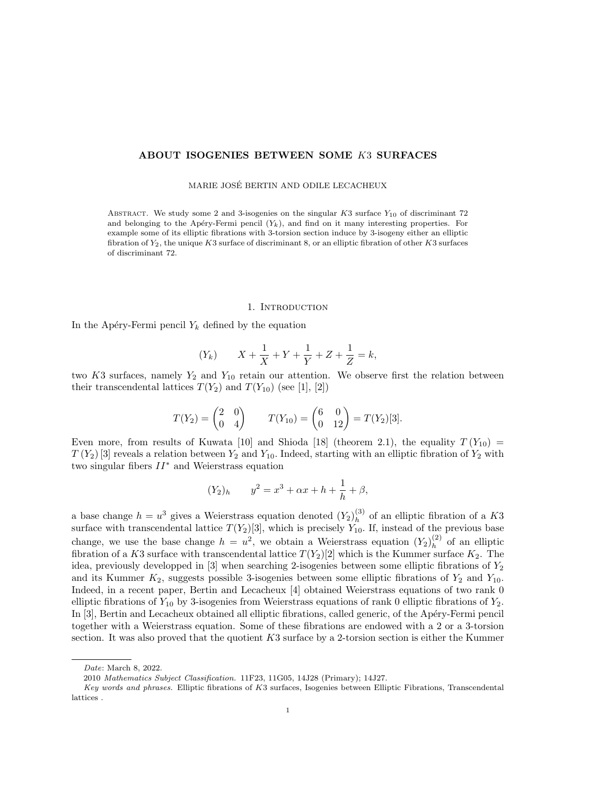## ABOUT ISOGENIES BETWEEN SOME K3 SURFACES

MARIE JOSE BERTIN AND ODILE LECACHEUX ´

ABSTRACT. We study some 2 and 3-isogenies on the singular  $K3$  surface  $Y_{10}$  of discriminant 72 and belonging to the Apéry-Fermi pencil  $(Y_k)$ , and find on it many interesting properties. For example some of its elliptic fibrations with 3-torsion section induce by 3-isogeny either an elliptic fibration of  $Y_2$ , the unique K3 surface of discriminant 8, or an elliptic fibration of other K3 surfaces of discriminant 72.

#### 1. INTRODUCTION

In the Apéry-Fermi pencil  $Y_k$  defined by the equation

$$
(Y_k)
$$
  $X + \frac{1}{X} + Y + \frac{1}{Y} + Z + \frac{1}{Z} = k$ ,

two K3 surfaces, namely  $Y_2$  and  $Y_{10}$  retain our attention. We observe first the relation between their transcendental lattices  $T(Y_2)$  and  $T(Y_{10})$  (see [1], [2])

$$
T(Y_2) = \begin{pmatrix} 2 & 0 \\ 0 & 4 \end{pmatrix} \qquad T(Y_{10}) = \begin{pmatrix} 6 & 0 \\ 0 & 12 \end{pmatrix} = T(Y_2)[3].
$$

Even more, from results of Kuwata [10] and Shioda [18] (theorem 2.1), the equality  $T(Y_{10}) =$  $T(Y_2)$  [3] reveals a relation between  $Y_2$  and  $Y_{10}$ . Indeed, starting with an elliptic fibration of  $Y_2$  with two singular fibers  $II^*$  and Weierstrass equation

$$
(Y_2)_h \t y^2 = x^3 + \alpha x + h + \frac{1}{h} + \beta,
$$

a base change  $h = u^3$  gives a Weierstrass equation denoted  $(Y_2)_h^{(3)}$  $h^{(3)}$  of an elliptic fibration of a K3 surface with transcendental lattice  $T(Y_2)[3]$ , which is precisely  $Y_{10}$ . If, instead of the previous base change, we use the base change  $h = u^2$ , we obtain a Weierstrass equation  $(Y_2)_h^{(2)}$  $h^{(2)}$  of an elliptic fibration of a K3 surface with transcendental lattice  $T(Y_2)[2]$  which is the Kummer surface  $K_2$ . The idea, previously developped in  $[3]$  when searching 2-isogenies between some elliptic fibrations of  $Y_2$ and its Kummer  $K_2$ , suggests possible 3-isogenies between some elliptic fibrations of  $Y_2$  and  $Y_{10}$ . Indeed, in a recent paper, Bertin and Lecacheux [4] obtained Weierstrass equations of two rank 0 elliptic fibrations of  $Y_{10}$  by 3-isogenies from Weierstrass equations of rank 0 elliptic fibrations of  $Y_2$ . In [3], Bertin and Lecacheux obtained all elliptic fibrations, called generic, of the Apéry-Fermi pencil together with a Weierstrass equation. Some of these fibrations are endowed with a 2 or a 3-torsion section. It was also proved that the quotient  $K3$  surface by a 2-torsion section is either the Kummer

Date: March 8, 2022.

<sup>2010</sup> Mathematics Subject Classification. 11F23, 11G05, 14J28 (Primary); 14J27.

Key words and phrases. Elliptic fibrations of K3 surfaces, Isogenies between Elliptic Fibrations, Transcendental lattices .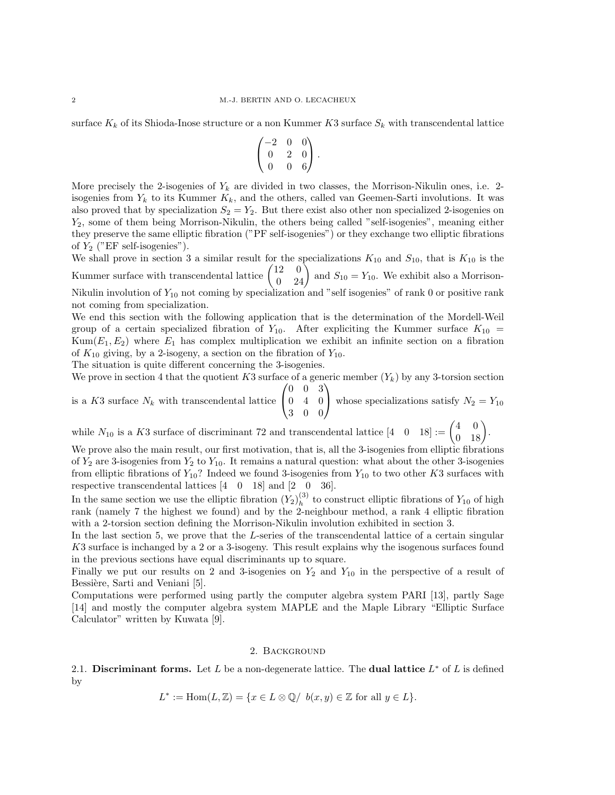surface  $K_k$  of its Shioda-Inose structure or a non Kummer K3 surface  $S_k$  with transcendental lattice

$$
\begin{pmatrix}\n-2 & 0 & 0 \\
0 & 2 & 0 \\
0 & 0 & 6\n\end{pmatrix}.
$$

More precisely the 2-isogenies of  $Y_k$  are divided in two classes, the Morrison-Nikulin ones, i.e. 2isogenies from  $Y_k$  to its Kummer  $K_k$ , and the others, called van Geemen-Sarti involutions. It was also proved that by specialization  $S_2 = Y_2$ . But there exist also other non specialized 2-isogenies on  $Y_2$ , some of them being Morrison-Nikulin, the others being called "self-isogenies", meaning either they preserve the same elliptic fibration ("PF self-isogenies") or they exchange two elliptic fibrations of  $Y_2$  ("EF self-isogenies").

We shall prove in section 3 a similar result for the specializations  $K_{10}$  and  $S_{10}$ , that is  $K_{10}$  is the Kummer surface with transcendental lattice  $\begin{pmatrix} 12 & 0 \\ 0 & 24 \end{pmatrix}$  and  $S_{10} = Y_{10}$ . We exhibit also a Morrison-Nikulin involution of  $Y_{10}$  not coming by specialization and "self isogenies" of rank 0 or positive rank not coming from specialization.

We end this section with the following application that is the determination of the Mordell-Weil group of a certain specialized fibration of  $Y_{10}$ . After expliciting the Kummer surface  $K_{10}$  =  $Kum(E_1, E_2)$  where  $E_1$  has complex multiplication we exhibit an infinite section on a fibration of  $K_{10}$  giving, by a 2-isogeny, a section on the fibration of  $Y_{10}$ .

The situation is quite different concerning the 3-isogenies.

We prove in section 4 that the quotient K3 surface of a generic member  $(Y_k)$  by any 3-torsion section  $\sqrt{ }$  $0 \t 0 \t 3$  $\setminus$ 

is a  $K3$  surface  $N_k$  with transcendental lattice  $\mathcal{L}$ 0 4 0 3 0 0 whose specializations satisfy  $N_2 = Y_{10}$ 

while  $N_{10}$  is a K3 surface of discriminant 72 and transcendental lattice  $\begin{pmatrix} 4 & 0 \\ 0 & 18 \end{pmatrix} := \begin{pmatrix} 4 & 0 \\ 0 & 18 \end{pmatrix}$ .

We prove also the main result, our first motivation, that is, all the 3-isogenies from elliptic fibrations of  $Y_2$  are 3-isogenies from  $Y_2$  to  $Y_{10}$ . It remains a natural question: what about the other 3-isogenies from elliptic fibrations of  $Y_{10}$ ? Indeed we found 3-isogenies from  $Y_{10}$  to two other K3 surfaces with respective transcendental lattices [4 0 18] and [2 0 36].

In the same section we use the elliptic fibration  $(Y_2)_h^{(3)}$  $h<sup>(3)</sup>$  to construct elliptic fibrations of  $Y_{10}$  of high rank (namely 7 the highest we found) and by the 2-neighbour method, a rank 4 elliptic fibration with a 2-torsion section defining the Morrison-Nikulin involution exhibited in section 3.

In the last section 5, we prove that the L-series of the transcendental lattice of a certain singular K3 surface is inchanged by a 2 or a 3-isogeny. This result explains why the isogenous surfaces found in the previous sections have equal discriminants up to square.

Finally we put our results on 2 and 3-isogenies on  $Y_2$  and  $Y_{10}$  in the perspective of a result of Bessière, Sarti and Veniani [5].

Computations were performed using partly the computer algebra system PARI [13], partly Sage [14] and mostly the computer algebra system MAPLE and the Maple Library "Elliptic Surface Calculator" written by Kuwata [9].

### 2. Background

2.1. Discriminant forms. Let L be a non-degenerate lattice. The dual lattice  $L^*$  of L is defined by

$$
L^* := \text{Hom}(L, \mathbb{Z}) = \{ x \in L \otimes \mathbb{Q} / b(x, y) \in \mathbb{Z} \text{ for all } y \in L \}.
$$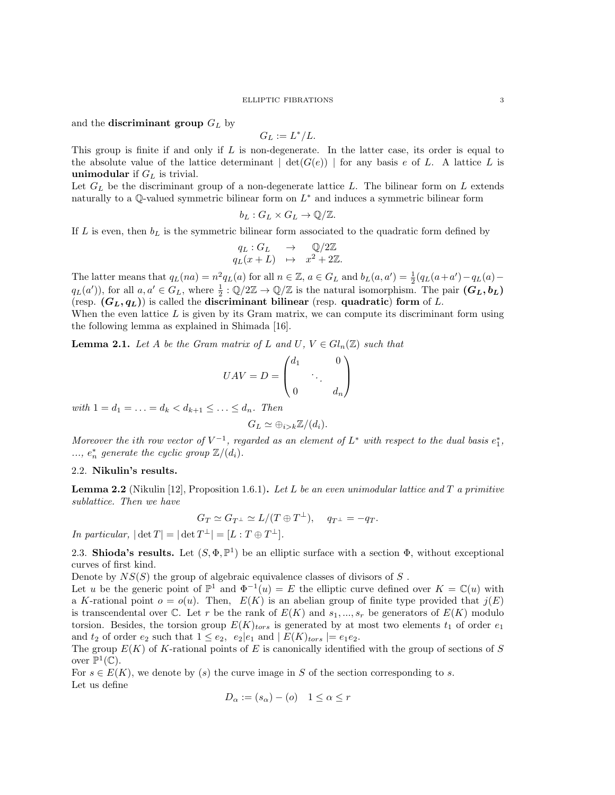#### ELLIPTIC FIBRATIONS 3

and the **discriminant group**  $G_L$  by

$$
G_L:=L^*/L.
$$

This group is finite if and only if  $L$  is non-degenerate. In the latter case, its order is equal to the absolute value of the lattice determinant  $\vert \det(G(e)) \vert$  for any basis e of L. A lattice L is **unimodular** if  $G_L$  is trivial.

Let  $G_L$  be the discriminant group of a non-degenerate lattice L. The bilinear form on L extends naturally to a Q-valued symmetric bilinear form on  $L^*$  and induces a symmetric bilinear form

$$
b_L: G_L \times G_L \to \mathbb{Q}/\mathbb{Z}.
$$

If L is even, then  $b<sub>L</sub>$  is the symmetric bilinear form associated to the quadratic form defined by

$$
q_L: G_L \rightarrow \mathbb{Q}/2\mathbb{Z}
$$
  

$$
q_L(x+L) \rightarrow x^2 + 2\mathbb{Z}.
$$

The latter means that  $q_L(na) = n^2 q_L(a)$  for all  $n \in \mathbb{Z}$ ,  $a \in G_L$  and  $b_L(a, a') = \frac{1}{2}(q_L(a + a') - q_L(a)$  $q_L(a')$ , for all  $a, a' \in G_L$ , where  $\frac{1}{2} : \mathbb{Q}/2\mathbb{Z} \to \mathbb{Q}/\mathbb{Z}$  is the natural isomorphism. The pair  $(G_L, b_L)$ (resp.  $(G_L, q_L)$ ) is called the **discriminant bilinear** (resp. quadratic) form of L.

When the even lattice  $L$  is given by its Gram matrix, we can compute its discriminant form using the following lemma as explained in Shimada [16].

**Lemma 2.1.** Let A be the Gram matrix of L and U,  $V \in Gl_n(\mathbb{Z})$  such that

$$
UAV = D = \begin{pmatrix} d_1 & 0 \\ & \ddots & \\ 0 & & d_n \end{pmatrix}
$$

with  $1 = d_1 = \ldots = d_k < d_{k+1} \leq \ldots \leq d_n$ . Then

$$
G_L \simeq \bigoplus_{i > k} \mathbb{Z}/(d_i).
$$

Moreover the ith row vector of  $V^{-1}$ , regarded as an element of  $L^*$  with respect to the dual basis  $e_1^*$ , ...,  $e_n^*$  generate the cyclic group  $\mathbb{Z}/(d_i)$ .

## 2.2. Nikulin's results.

**Lemma 2.2** (Nikulin [12], Proposition 1.6.1). Let L be an even unimodular lattice and T a primitive sublattice. Then we have

$$
G_T \simeq G_{T^{\perp}} \simeq L/(T \oplus T^{\perp}), \quad q_{T^{\perp}} = -q_T.
$$

In particular,  $|\det T| = |\det T^{\perp}| = [L : T \oplus T^{\perp}].$ 

2.3. Shioda's results. Let  $(S, \Phi, \mathbb{P}^1)$  be an elliptic surface with a section  $\Phi$ , without exceptional curves of first kind.

Denote by  $NS(S)$  the group of algebraic equivalence classes of divisors of S.

Let u be the generic point of  $\mathbb{P}^1$  and  $\Phi^{-1}(u) = E$  the elliptic curve defined over  $K = \mathbb{C}(u)$  with a K-rational point  $o = o(u)$ . Then,  $E(K)$  is an abelian group of finite type provided that  $j(E)$ is transcendental over  $\mathbb C$ . Let r be the rank of  $E(K)$  and  $s_1, ..., s_r$  be generators of  $E(K)$  modulo torsion. Besides, the torsion group  $E(K)_{tors}$  is generated by at most two elements  $t_1$  of order  $e_1$ and  $t_2$  of order  $e_2$  such that  $1 \leq e_2$ ,  $e_2|e_1$  and  $|E(K)_{tors}| = e_1e_2$ .

The group  $E(K)$  of K-rational points of E is canonically identified with the group of sections of S over  $\mathbb{P}^1(\mathbb{C})$ .

For  $s \in E(K)$ , we denote by (s) the curve image in S of the section corresponding to s. Let us define

$$
D_{\alpha} := (s_{\alpha}) - (o) \quad 1 \le \alpha \le r
$$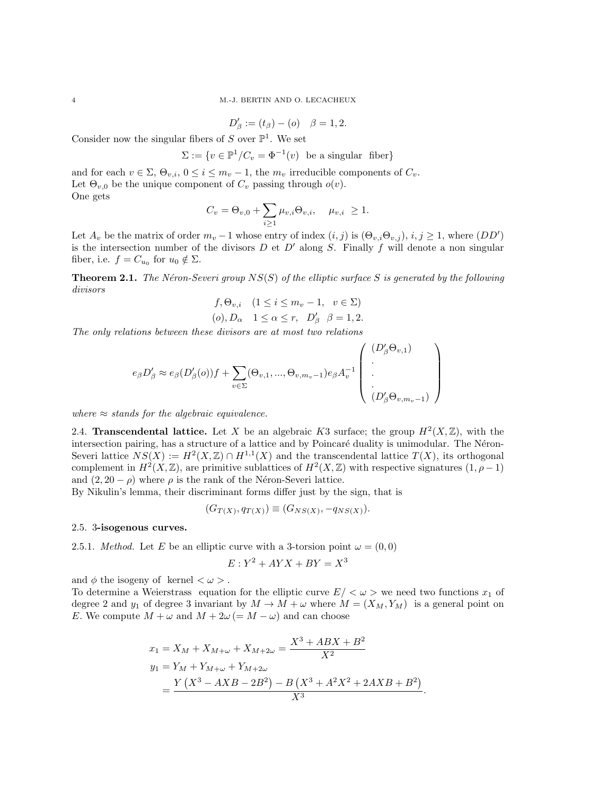$$
D'_{\beta} := (t_{\beta}) - (o) \quad \beta = 1, 2.
$$

Consider now the singular fibers of  $S$  over  $\mathbb{P}^1$ . We set

$$
\Sigma := \{ v \in \mathbb{P}^1 / C_v = \Phi^{-1}(v) \text{ be a singular fiber} \}
$$

and for each  $v \in \Sigma$ ,  $\Theta_{v,i}$ ,  $0 \leq i \leq m_v - 1$ , the  $m_v$  irreducible components of  $C_v$ . Let  $\Theta_{v,0}$  be the unique component of  $C_v$  passing through  $o(v)$ . One gets

$$
C_v = \Theta_{v,0} + \sum_{i \ge 1} \mu_{v,i} \Theta_{v,i}, \quad \mu_{v,i} \ge 1.
$$

Let  $A_v$  be the matrix of order  $m_v - 1$  whose entry of index  $(i, j)$  is  $(\Theta_{v,i} \Theta_{v,j}), i, j \ge 1$ , where  $(DD')$ is the intersection number of the divisors  $D$  et  $D'$  along  $S$ . Finally  $f$  will denote a non singular fiber, i.e.  $f = C_{u_0}$  for  $u_0 \notin \Sigma$ .

**Theorem 2.1.** The Néron-Severi group  $NS(S)$  of the elliptic surface S is generated by the following divisors

$$
f, \Theta_{v,i} \quad (1 \le i \le m_v - 1, \quad v \in \Sigma)
$$
  
(o),  $D_{\alpha}$   $1 \le \alpha \le r$ ,  $D'_{\beta}$   $\beta = 1, 2$ .

The only relations between these divisors are at most two relations

$$
e_{\beta}D'_{\beta} \approx e_{\beta}(D'_{\beta}(o))f + \sum_{v \in \Sigma}(\Theta_{v,1},...,\Theta_{v,m_v-1})e_{\beta}A_v^{-1}\left(\begin{array}{c} (D'_{\beta}\Theta_{v,1}) \\ \vdots \\ (D'_{\beta}\Theta_{v,m_v-1}) \end{array}\right)
$$

where  $\approx$  stands for the algebraic equivalence.

2.4. **Transcendental lattice.** Let X be an algebraic K3 surface; the group  $H^2(X,\mathbb{Z})$ , with the intersection pairing, has a structure of a lattice and by Poincaré duality is unimodular. The Néron-Severi lattice  $NS(X) := H^2(X, \mathbb{Z}) \cap H^{1,1}(X)$  and the transcendental lattice  $T(X)$ , its orthogonal complement in  $H^2(X,\mathbb{Z})$ , are primitive sublattices of  $H^2(X,\mathbb{Z})$  with respective signatures  $(1,\rho-1)$ and  $(2, 20 - \rho)$  where  $\rho$  is the rank of the Néron-Severi lattice.

By Nikulin's lemma, their discriminant forms differ just by the sign, that is

$$
(G_{T(X)}, q_{T(X)}) \equiv (G_{NS(X)}, -q_{NS(X)}).
$$

# 2.5. 3-isogenous curves.

2.5.1. *Method.* Let E be an elliptic curve with a 3-torsion point  $\omega = (0,0)$ 

$$
E: Y^2 + AYX + BY = X^3
$$

and  $\phi$  the isogeny of kernel  $\langle \omega \rangle$ .

To determine a Weierstrass equation for the elliptic curve  $E/<\omega>$  we need two functions  $x_1$  of degree 2 and  $y_1$  of degree 3 invariant by  $M \to M + \omega$  where  $M = (X_M, Y_M)$  is a general point on E. We compute  $M + \omega$  and  $M + 2\omega (= M - \omega)$  and can choose

$$
x_1 = X_M + X_{M+\omega} + X_{M+2\omega} = \frac{X^3 + ABX + B^2}{X^2}
$$
  
\n
$$
y_1 = Y_M + Y_{M+\omega} + Y_{M+2\omega}
$$
  
\n
$$
= \frac{Y(X^3 - AXB - 2B^2) - B(X^3 + A^2X^2 + 2AXB + B^2)}{X^3}.
$$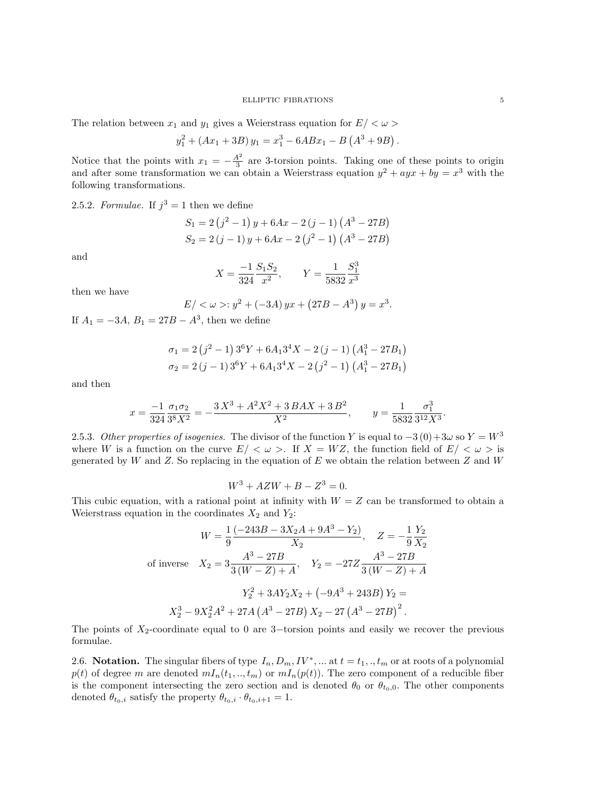#### ELLIPTIC FIBRATIONS 5

The relation between  $x_1$  and  $y_1$  gives a Weierstrass equation for  $E/<\omega>$ 

$$
y_1^2 + (Ax_1 + 3B)y_1 = x_1^3 - 6ABx_1 - B(A^3 + 9B).
$$

Notice that the points with  $x_1 = -\frac{A^2}{3}$  $\frac{3^2}{3}$  are 3-torsion points. Taking one of these points to origin and after some transformation we can obtain a Weierstrass equation  $y^2 + a y x + b y = x^3$  with the following transformations.

2.5.2. Formulae. If  $j^3 = 1$  then we define

$$
S_1 = 2(j^2 - 1)y + 6Ax - 2(j - 1)(A^3 - 27B)
$$
  
\n
$$
S_2 = 2(j - 1)y + 6Ax - 2(j^2 - 1)(A^3 - 27B)
$$

and

$$
X=\frac{-1}{324}\frac{S_1S_2}{x^2},\qquad Y=\frac{1}{5832}\frac{S_1^3}{x^3}
$$

then we have

$$
E / \langle \omega \rangle : y^2 + (-3A) yx + (27B - A^3) y = x^3.
$$

If  $A_1 = -3A$ ,  $B_1 = 27B - A^3$ , then we define

$$
\sigma_1 = 2(j^2 - 1)3^6 Y + 6A_1 3^4 X - 2(j - 1) (A_1^3 - 27B_1)
$$
  

$$
\sigma_2 = 2(j - 1)3^6 Y + 6A_1 3^4 X - 2(j^2 - 1) (A_1^3 - 27B_1)
$$

and then

$$
x=\frac{-1}{324}\frac{\sigma_1\sigma_2}{3^8X^2}=-\frac{3\,X^3+A^2X^2+3\,BAX+3\,B^2}{X^2},\qquad y=\frac{1}{5832}\frac{\sigma_1^3}{3^{12}X^3}.
$$

2.5.3. Other properties of isogenies. The divisor of the function Y is equal to  $-3(0)+3\omega$  so  $Y = W^3$ where W is a function on the curve  $E/<\omega>$ . If  $X=WZ$ , the function field of  $E/<\omega>$  is generated by W and Z. So replacing in the equation of E we obtain the relation between Z and W

$$
W^3 + AZW + B - Z^3 = 0.
$$

This cubic equation, with a rational point at infinity with  $W = Z$  can be transformed to obtain a Weierstrass equation in the coordinates  $X_2$  and  $Y_2$ :

$$
W = \frac{1}{9} \frac{(-243B - 3X_2A + 9A^3 - Y_2)}{X_2}, \quad Z = -\frac{1}{9} \frac{Y_2}{X_2}
$$
  
of inverse  $X_2 = 3 \frac{A^3 - 27B}{3(W - Z) + A}, \quad Y_2 = -27Z \frac{A^3 - 27B}{3(W - Z) + A}$   

$$
Y_2^2 + 3AY_2X_2 + (-9A^3 + 243B)Y_2 =
$$

$$
X_2^3 - 9X_2^2A^2 + 27A(A^3 - 27B)X_2 - 27(A^3 - 27B)^2.
$$

The points of  $X_2$ -coordinate equal to 0 are 3–torsion points and easily we recover the previous formulae.

2.6. Notation. The singular fibers of type  $I_n, D_m, IV^*, \dots$  at  $t = t_1, \dots, t_m$  or at roots of a polynomial  $p(t)$  of degree m are denoted  $mI_n(t_1,.., t_m)$  or  $mI_n(p(t))$ . The zero component of a reducible fiber is the component intersecting the zero section and is denoted  $\theta_0$  or  $\theta_{t_0,0}$ . The other components denoted  $\theta_{t_0,i}$  satisfy the property  $\theta_{t_0,i} \cdot \theta_{t_0,i+1} = 1$ .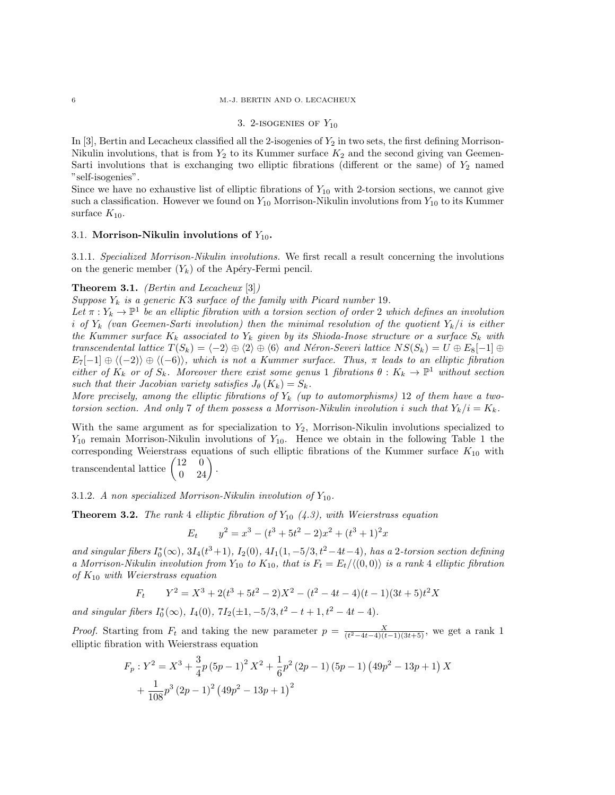### 3. 2-ISOGENIES OF  $Y_{10}$

In  $[3]$ , Bertin and Lecacheux classified all the 2-isogenies of  $Y_2$  in two sets, the first defining Morrison-Nikulin involutions, that is from  $Y_2$  to its Kummer surface  $K_2$  and the second giving van Geemen-Sarti involutions that is exchanging two elliptic fibrations (different or the same) of  $Y_2$  named "self-isogenies".

Since we have no exhaustive list of elliptic fibrations of  $Y_{10}$  with 2-torsion sections, we cannot give such a classification. However we found on  $Y_{10}$  Morrison-Nikulin involutions from  $Y_{10}$  to its Kummer surface  $K_{10}$ .

#### 3.1. Morrison-Nikulin involutions of  $Y_{10}$ .

3.1.1. Specialized Morrison-Nikulin involutions. We first recall a result concerning the involutions on the generic member  $(Y_k)$  of the Apéry-Fermi pencil.

## **Theorem 3.1.** *(Bertin and Lecacheux* [3])

Suppose  $Y_k$  is a generic K3 surface of the family with Picard number 19.

Let  $\pi: Y_k \to \mathbb{P}^1$  be an elliptic fibration with a torsion section of order 2 which defines an involution i of  $Y_k$  (van Geemen-Sarti involution) then the minimal resolution of the quotient  $Y_k/i$  is either the Kummer surface  $K_k$  associated to  $Y_k$  given by its Shioda-Inose structure or a surface  $S_k$  with transcendental lattice  $T(S_k) = \langle -2 \rangle \oplus \langle 2 \rangle \oplus \langle 6 \rangle$  and Néron-Severi lattice  $NS(S_k) = U \oplus E_8[-1] \oplus$  $E_7[-1] \oplus \langle (-2) \rangle \oplus \langle (-6) \rangle$ , which is not a Kummer surface. Thus,  $\pi$  leads to an elliptic fibration either of  $K_k$  or of  $S_k$ . Moreover there exist some genus 1 fibrations  $\theta: K_k \to \mathbb{P}^1$  without section such that their Jacobian variety satisfies  $J_{\theta}(K_k) = S_k$ .

More precisely, among the elliptic fibrations of  $Y_k$  (up to automorphisms) 12 of them have a twotorsion section. And only 7 of them possess a Morrison-Nikulin involution i such that  $Y_k/i = K_k$ .

With the same argument as for specialization to  $Y_2$ , Morrison-Nikulin involutions specialized to  $Y_{10}$  remain Morrison-Nikulin involutions of  $Y_{10}$ . Hence we obtain in the following Table 1 the corresponding Weierstrass equations of such elliptic fibrations of the Kummer surface  $K_{10}$  with transcendental lattice  $\begin{pmatrix} 12 & 0 \\ 0 & 24 \end{pmatrix}$ .

3.1.2. A non specialized Morrison-Nikulin involution of  $Y_{10}$ .

**Theorem 3.2.** The rank 4 elliptic fibration of  $Y_{10}$  (4.3), with Weierstrass equation

$$
E_t \t y^2 = x^3 - (t^3 + 5t^2 - 2)x^2 + (t^3 + 1)^2 x
$$

and singular fibers  $I_0^*(\infty)$ ,  $3I_4(t^3+1)$ ,  $I_2(0)$ ,  $4I_1(1, -5/3, t^2-4t-4)$ , has a 2-torsion section defining a Morrison-Nikulin involution from  $Y_{10}$  to  $K_{10}$ , that is  $F_t = E_t/\langle (0,0) \rangle$  is a rank 4 elliptic fibration of  $K_{10}$  with Weierstrass equation

$$
F_t \qquad Y^2 = X^3 + 2(t^3 + 5t^2 - 2)X^2 - (t^2 - 4t - 4)(t - 1)(3t + 5)t^2X
$$

and singular fibers  $I_0^*(\infty)$ ,  $I_4(0)$ ,  $7I_2(\pm 1, -5/3, t^2 - t + 1, t^2 - 4t - 4)$ .

*Proof.* Starting from  $F_t$  and taking the new parameter  $p = \frac{X}{(t^2 - 4t - 4)(t-1)(3t+5)}$ , we get a rank 1 elliptic fibration with Weierstrass equation

$$
F_p: Y^2 = X^3 + \frac{3}{4}p(5p - 1)^2 X^2 + \frac{1}{6}p^2(2p - 1)(5p - 1)(49p^2 - 13p + 1) X
$$

$$
+ \frac{1}{108}p^3(2p - 1)^2(49p^2 - 13p + 1)^2
$$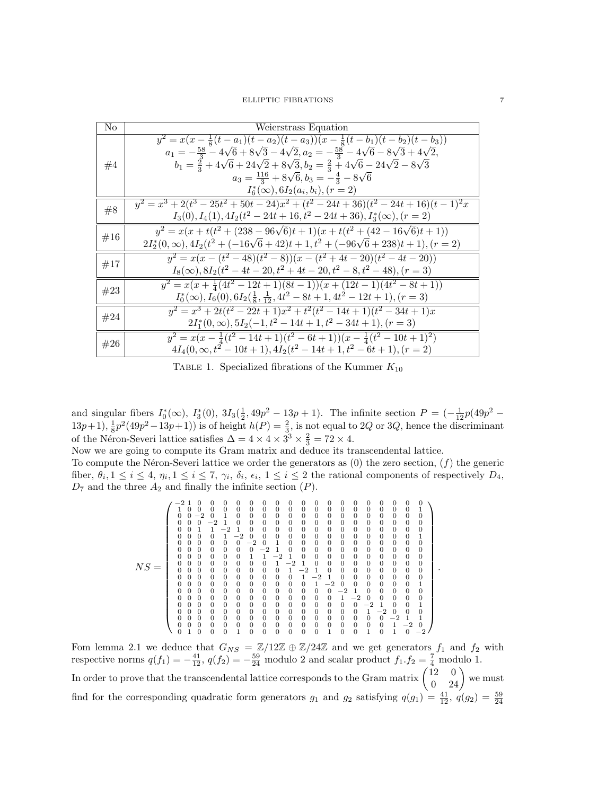| No  | Weierstrass Equation                                                                                                                                                                                                                                                                                                                                                                                                                                                |
|-----|---------------------------------------------------------------------------------------------------------------------------------------------------------------------------------------------------------------------------------------------------------------------------------------------------------------------------------------------------------------------------------------------------------------------------------------------------------------------|
| #4  | $y^2 = x(x - \frac{1}{8}(t - a_1)(t - a_2)(t - a_3))(x - \frac{1}{8}(t - b_1)(t - b_2)(t - b_3))$<br>$a_1 = -\frac{58}{3} - 4\sqrt{6} + 8\sqrt{3} - 4\sqrt{2}, a_2 = -\frac{58}{3} - 4\sqrt{6} - 8\sqrt{3} + 4\sqrt{2},$<br>$b_1 = \frac{2}{3} + 4\sqrt{6} + 24\sqrt{2} + 8\sqrt{3}, b_2 = \frac{2}{3} + 4\sqrt{6} - 24\sqrt{2} - 8\sqrt{3}$<br>$a_3 = \frac{116}{3} + 8\sqrt{6}, b_3 = -\frac{4}{3} - 8\sqrt{6}$<br>$I_6^*(\infty)$ , $6I_2(a_i, b_i)$ , $(r = 2)$ |
| #8  | $y^2 = x^3 + 2(t^3 - 25t^2 + 50t - 24)x^2 + (t^2 - 24t + 36)(t^2 - 24t + 16)(t - 1)^2x$<br>$I_3(0), I_4(1), 4I_2(t^2-24t+16, t^2-24t+36), I_3^*(\infty), (r=2)$                                                                                                                                                                                                                                                                                                     |
| #16 | $y^2 = x(x + t(t^2 + (238 - 96\sqrt{6})t + 1)(x + t(t^2 + (42 - 16\sqrt{6})t + 1))$<br>$2I_2^*(0,\infty), 4I_2(t^2 + (-16\sqrt{6} + 42)t + 1, t^2 + (-96\sqrt{6} + 238)t + 1), (r = 2)$                                                                                                                                                                                                                                                                             |
| #17 | $y^2 = x(x - (t^2 - 48)(t^2 - 8))(x - (t^2 + 4t - 20)(t^2 - 4t - 20))$<br>$I_8(\infty)$ , $8I_2(t^2-4t-20,t^2+4t-20,t^2-8,t^2-48)$ , $(r=3)$                                                                                                                                                                                                                                                                                                                        |
| #23 | $y^2 = x(x + \frac{1}{4}(4t^2 - 12t + 1)(8t - 1))(x + (12t - 1)(4t^2 - 8t + 1))$<br>$I_0^*(\infty), I_6(0), 6I_2(\frac{1}{8}, \frac{1}{12}, 4t^2 - 8t + 1, 4t^2 - 12t + 1), (r = 3)$                                                                                                                                                                                                                                                                                |
| #24 | $y^2 = x^3 + 2t(t^2 - 22t + 1)x^2 + t^2(t^2 - 14t + 1)(t^2 - 34t + 1)x$<br>$2I_1^*(0,\infty), 5I_2(-1,t^2-14t+1,t^2-34t+1), (r=3)$                                                                                                                                                                                                                                                                                                                                  |
| #26 | $y^2 = x(x - \frac{1}{4}(t^2 - 14t + 1)(t^2 - 6t + 1))(x - \frac{1}{4}(t^2 - 10t + 1)^2)$<br>$4I_4(0, \infty, t^2-10t+1), 4I_2(t^2-14t+1, t^2-6t+1), (r=2)$                                                                                                                                                                                                                                                                                                         |

TABLE 1. Specialized fibrations of the Kummer  $K_{10}$ 

and singular fibers  $I_0^*(\infty)$ ,  $I_3^*(0)$ ,  $3I_3(\frac{1}{2}, 49p^2 - 13p + 1)$ . The infinite section  $P = \left(-\frac{1}{12}p(49p^2 - 13p + 1)\right)$  $(13p+1), \frac{1}{8}p^2(49p^2-13p+1))$  is of height  $h(P) = \frac{2}{3}$ , is not equal to 2Q or 3Q, hence the discriminant of the Néron-Severi lattice satisfies  $\Delta = 4 \times 4 \times 3^3 \times \frac{2}{3} = 72 \times 4$ .

Now we are going to compute its Gram matrix and deduce its transcendental lattice.

To compute the Néron-Severi lattice we order the generators as  $(0)$  the zero section,  $(f)$  the generic fiber,  $\theta_i, 1 \leq i \leq 4, \eta_i, 1 \leq i \leq 7, \gamma_i, \delta_i, \epsilon_i, 1 \leq i \leq 2$  the rational components of respectively  $D_4$ ,  $D_7$  and the three  $A_2$  and finally the infinite section  $(P)$ .

NS = −2 1 0 0 0 0 0 0 0 0 0 0 0 0 0 0 0 0 0 0 1 0 0 0 0 0 0 0 0 0 0 0 0 0 0 0 0 0 0 1 0 0 −2 0 1 0 0 0 0 0 0 0 0 0 0 0 0 0 0 0 0 0 0 −2 1 0 0 0 0 0 0 0 0 0 0 0 0 0 0 0 0 0 1 1 −2 1 0 0 0 0 0 0 0 0 0 0 0 0 0 0 0 0 0 0 1 −2 0 0 0 0 0 0 0 0 0 0 0 0 0 1 0 0 0 0 0 0 −2 0 1 0 0 0 0 0 0 0 0 0 0 0 0 0 0 0 0 0 0 −2 1 0 0 0 0 0 0 0 0 0 0 0 0 0 0 0 0 0 1 1 −2 1 0 0 0 0 0 0 0 0 0 0 0 0 0 0 0 0 0 0 1 −2 1 0 0 0 0 0 0 0 0 0 0 0 0 0 0 0 0 0 0 1 −2 1 0 0 0 0 0 0 0 0 0 0 0 0 0 0 0 0 0 0 1 −2 1 0 0 0 0 0 0 0 0 0 0 0 0 0 0 0 0 0 0 1 −2 0 0 0 0 0 0 1 0 0 0 0 0 0 0 0 0 0 0 0 0 −2 1 0 0 0 0 0 0 0 0 0 0 0 0 0 0 0 0 0 0 1 −2 0 0 0 0 0 0 0 0 0 0 0 0 0 0 0 0 0 0 0 0 −2 1 0 0 1 0 0 0 0 0 0 0 0 0 0 0 0 0 0 0 1 −2 0 0 0 0 0 0 0 0 0 0 0 0 0 0 0 0 0 0 0 0 −2 1 1 0 0 0 0 0 0 0 0 0 0 0 0 0 0 0 0 0 1 −2 0 0 1 0 0 0 1 0 0 0 0 0 0 1 0 0 1 0 1 0 −2 

.

Fom lemma 2.1 we deduce that  $G_{NS} = \mathbb{Z}/12\mathbb{Z} \oplus \mathbb{Z}/24\mathbb{Z}$  and we get generators  $f_1$  and  $f_2$  with respective norms  $q(f_1) = -\frac{41}{12}$ ,  $q(f_2) = -\frac{59}{24}$  modulo 2 and scalar product  $f_1.f_2 = \frac{7}{4}$  modulo 1. In order to prove that the transcendental lattice corresponds to the Gram matrix  $\begin{pmatrix} 12 & 0 \\ 0 & 24 \end{pmatrix}$  we must find for the corresponding quadratic form generators  $g_1$  and  $g_2$  satisfying  $q(g_1) = \frac{41}{12}$ ,  $q(g_2) = \frac{59}{24}$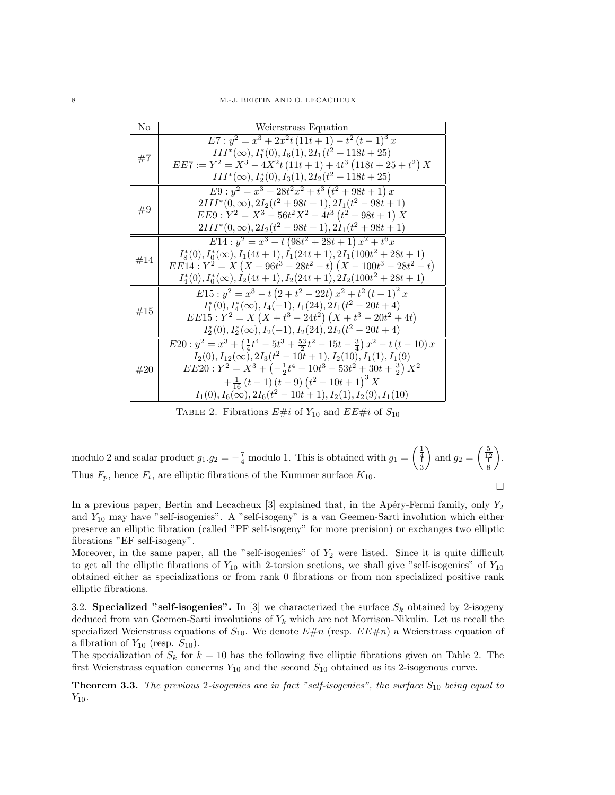| No  | Weierstrass Equation                                                                             |
|-----|--------------------------------------------------------------------------------------------------|
|     | $E7: y^2 = x^3 + 2x^2t(11t + 1) - t^2(t - 1)^3 x$                                                |
|     | $III^*(\infty), I_1^*(0), I_6(1), 2I_1(t^2+118t+25)$                                             |
| #7  | $EE7 := Y^2 = X^3 - 4X^2t(11t+1) + 4t^3(118t+25+t^2)X$                                           |
|     | $III^*(\infty), I_2^*(0), I_3(1), 2I_2(t^2+118t+25)$                                             |
|     | $E9: y^2 = x^3 + 28t^2x^2 + t^3(t^2 + 98t + 1)x$                                                 |
| #9  | $2III^*(0,\infty), 2I_2(t^2+98t+1), 2I_1(t^2-98t+1)$                                             |
|     | $EE9: Y^2 = X^3 - 56t^2X^2 - 4t^3(t^2 - 98t + 1)X$                                               |
|     | $2III^*(0,\infty), 2I_2(t^2-98t+1), 2I_1(t^2+98t+1)$                                             |
|     | $E14: y^2 = x^3 + t(98t^2 + 28t + 1)x^2 + t^6x$                                                  |
| #14 | $I_8^*(0), I_0^*(\infty), I_1(4t+1), I_1(24t+1), 2I_1(100t^2+28t+1)$                             |
|     | $EE14: Y^2 = X(X - 96t^3 - 28t^2 - t)(X - 100t^3 - 28t^2 - t)$                                   |
|     | $I_4^*(0), I_0^*(\infty), I_2(4t+1), I_2(24t+1), 2I_2(100t^2+28t+1)$                             |
|     | $E15: y^2 = x^3 - t(2 + t^2 - 22t)x^2 + t^2(t+1)^2 x$                                            |
| #15 | $I_1^*(0), I_4^*(\infty), I_4(-1), I_1(24), 2I_1(t^2-20t+4)$                                     |
|     | $EE15: Y^2 = X(X + t^3 - 24t^2)(X + t^3 - 20t^2 + 4t)$                                           |
|     | $I_2^*(0), I_2^*(\infty), I_2(-1), I_2(24), 2I_2(t^2-20t+4)$                                     |
|     | $E20: y^2 = x^3 + (\frac{1}{4}t^4 - 5t^3 + \frac{53}{2}t^2 - 15t - \frac{3}{4})x^2 - t(t - 10)x$ |
|     | $I_2(0), I_{12}(\infty), 2I_3(t^2-10t+1), I_2(10), I_1(1), I_1(9)$                               |
| #20 | $EE20: Y^2 = X^3 + \left(-\frac{1}{2}t^4 + 10t^3 - 53t^2 + 30t + \frac{3}{2}\right)X^2$          |
|     | $+\frac{1}{16}(t-1)(t-9)(t^2-10t+1)^3 X$                                                         |
|     | $I_1(0), I_6(\infty), 2I_6(t^2-10t+1), I_2(1), I_2(9), I_1(10)$                                  |

TABLE 2. Fibrations  $E\#i$  of  $Y_{10}$  and  $EE\#i$  of  $S_{10}$ 

modulo 2 and scalar product 
$$
g_1 \cdot g_2 = -\frac{7}{4}
$$
 modulo 1. This is obtained with  $g_1 = \left(\frac{\frac{1}{4}}{\frac{1}{3}}\right)$  and  $g_2 = \left(\frac{\frac{5}{4}}{\frac{1}{8}}\right)$ .  
Thus  $F_p$ , hence  $F_t$ , are elliptic fibrations of the Kummer surface  $K_{10}$ .

In a previous paper, Bertin and Lecacheux  $[3]$  explained that, in the Apéry-Fermi family, only  $Y_2$ and  $Y_{10}$  may have "self-isogenies". A "self-isogeny" is a van Geemen-Sarti involution which either preserve an elliptic fibration (called "PF self-isogeny" for more precision) or exchanges two elliptic fibrations "EF self-isogeny".

Moreover, in the same paper, all the "self-isogenies" of  $Y_2$  were listed. Since it is quite difficult to get all the elliptic fibrations of  $Y_{10}$  with 2-torsion sections, we shall give "self-isogenies" of  $Y_{10}$ obtained either as specializations or from rank 0 fibrations or from non specialized positive rank elliptic fibrations.

3.2. Specialized "self-isogenies". In [3] we characterized the surface  $S_k$  obtained by 2-isogeny deduced from van Geemen-Sarti involutions of  $Y_k$  which are not Morrison-Nikulin. Let us recall the specialized Weierstrass equations of  $S_{10}$ . We denote  $E\#n$  (resp.  $EE\#n$ ) a Weierstrass equation of a fibration of  $Y_{10}$  (resp.  $S_{10}$ ).

The specialization of  $S_k$  for  $k = 10$  has the following five elliptic fibrations given on Table 2. The first Weierstrass equation concerns  $Y_{10}$  and the second  $S_{10}$  obtained as its 2-isogenous curve.

**Theorem 3.3.** The previous 2-isogenies are in fact "self-isogenies", the surface  $S_{10}$  being equal to  $Y_{10}$ .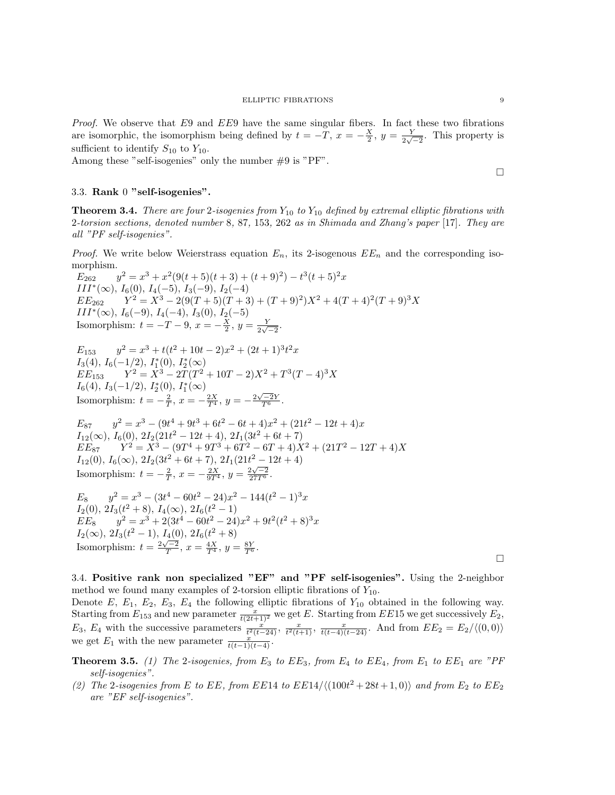Proof. We observe that E9 and EE9 have the same singular fibers. In fact these two fibrations are isomorphic, the isomorphism being defined by  $t = -T, x = -\frac{X}{2}, y = \frac{Y}{2\sqrt{3}}$  $\frac{Y}{2\sqrt{-2}}$ . This property is sufficient to identify  $S_{10}$  to  $Y_{10}$ .

Among these "self-isogenies" only the number #9 is "PF".

### 3.3. Rank 0 "self-isogenies".

**Theorem 3.4.** There are four 2-isogenies from  $Y_{10}$  to  $Y_{10}$  defined by extremal elliptic fibrations with 2-torsion sections, denoted number 8, 87, 153, 262 as in Shimada and Zhang's paper [17]. They are all "PF self-isogenies".

*Proof.* We write below Weierstrass equation  $E_n$ , its 2-isogenous  $EE_n$  and the corresponding isomorphism.

 $E_{262}$   $y^2 = x^3 + x^2(9(t+5)(t+3) + (t+9)^2) - t^3(t+5)^2x$  $III^*(\infty)$ ,  $I_6(0)$ ,  $I_4(-5)$ ,  $I_3(-9)$ ,  $I_2(-4)$  $EE_{262}$   $Y^2 = X^3 - 2(9(T+5)(T+3) + (T+9)^2)X^2 + 4(T+4)^2(T+9)^3X$  $III^*(\infty)$ ,  $I_6(-9)$ ,  $I_4(-4)$ ,  $I_3(0)$ ,  $I_2(-5)$ Isomorphism:  $t = -T - 9$ ,  $x = -\frac{X}{2}$ ,  $y = \frac{Y}{2\sqrt{3}}$  $rac{Y}{2\sqrt{-2}}$ .

 $E_{153}$   $y^2 = x^3 + t(t^2 + 10t - 2)x^2 + (2t + 1)^3 t^2 x$ I<sub>3</sub>(4), I<sub>6</sub>(-1/2), I<sub>1</sub><sup>\*</sup>(0), I<sub>2</sub><sup>\*</sup>(∞)  $EE_{153}$   $Y^2 = X^3 - 2T(T^2 + 10T - 2)X^2 + T^3(T - 4)^3X$  $I_6(4), I_3(-1/2), I_2^*(0), I_1^*(\infty)$ Isomorphism:  $t = -\frac{2}{T}$ ,  $x = -\frac{2X}{T^4}$ ,  $y = -\frac{2\sqrt{-2}Y}{T^6}$ .

 $E_{87}$   $y^2 = x^3 - (9t^4 + 9t^3 + 6t^2 - 6t + 4)x^2 + (21t^2 - 12t + 4)x$  $I_{12}(\infty)$ ,  $I_6(0)$ ,  $2I_2(21t^2 - 12t + 4)$ ,  $2I_1(3t^2 + 6t + 7)$  $EE_{87}$   $Y^2 = X^3 - (9T^4 + 9T^3 + 6T^2 - 6T + 4)X^2 + (21T^2 - 12T + 4)X$  $I_{12}(0), I_6(\infty), 2I_2(3t^2+6t+7), 2I_1(21t^2-12t+4)$ Isomorphism:  $t = -\frac{2}{T}$ ,  $x = -\frac{2X}{9T^4}$ ,  $y = \frac{2\sqrt{-2}}{27T^6}$ .

$$
E_8 \t y^2 = x^3 - (3t^4 - 60t^2 - 24)x^2 - 144(t^2 - 1)^3x
$$
  
\n
$$
I_2(0), 2I_3(t^2 + 8), I_4(\infty), 2I_6(t^2 - 1)
$$
  
\n
$$
EE_8 \t y^2 = x^3 + 2(3t^4 - 60t^2 - 24)x^2 + 9t^2(t^2 + 8)^3x
$$
  
\n
$$
I_2(\infty), 2I_3(t^2 - 1), I_4(0), 2I_6(t^2 + 8)
$$
  
\nIsomorphism:  $t = \frac{2\sqrt{-2}}{T}, x = \frac{4X}{T^4}, y = \frac{8Y}{T^6}.$ 

 $\Box$ 

3.4. Positive rank non specialized "EF" and "PF self-isogenies". Using the 2-neighbor method we found many examples of 2-torsion elliptic fibrations of  $Y_{10}$ .

Denote E,  $E_1$ ,  $E_2$ ,  $E_3$ ,  $E_4$  the following elliptic fibrations of  $Y_{10}$  obtained in the following way. Starting from  $E_{153}$  and new parameter  $\frac{x}{t(2t+1)^2}$  we get E. Starting from EE15 we get successively  $E_2$ ,  $E_3$ ,  $E_4$  with the successive parameters  $\frac{x}{t^2(t-24)}$ ,  $\frac{x}{t^2(t+1)}$ ,  $\frac{x}{t(t-4)(t-24)}$ . And from  $EE_2 = E_2/\langle(0,0)\rangle$ we get  $E_1$  with the new parameter  $\frac{x}{t(t-1)(t-4)}$ .

**Theorem 3.5.** (1) The 2-isogenies, from  $E_3$  to  $EE_3$ , from  $E_4$  to  $EE_4$ , from  $E_1$  to  $EE_1$  are "PF self-isogenies".

(2) The 2-isogenies from E to EE, from EE14 to  $E$ E14/ $\langle (100t^2 + 28t + 1, 0) \rangle$  and from  $E_2$  to  $EE_2$ are "EF self-isogenies".

 $\Box$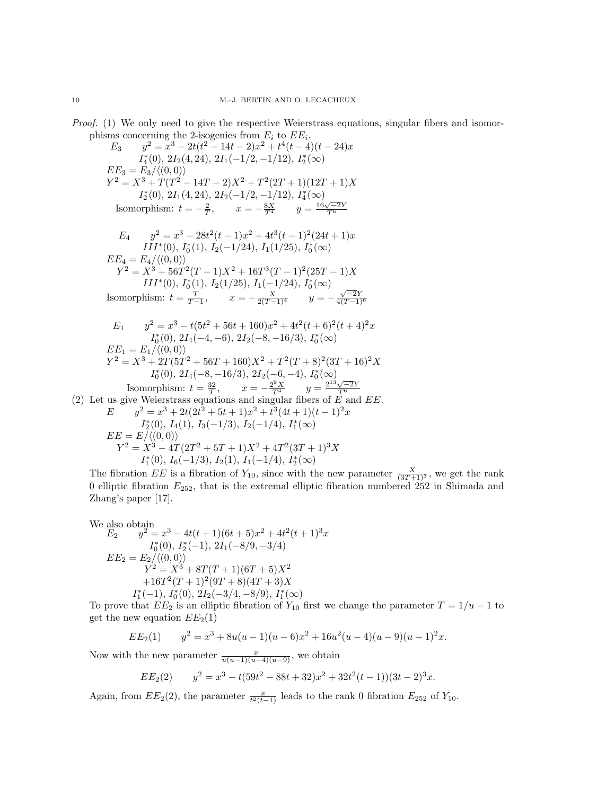Proof. (1) We only need to give the respective Weierstrass equations, singular fibers and isomorphisms concerning the 2-isogenies from  $E_i$  to  $EE_i$ .<br>  $E_i$ ,  $v^2 = x^3 - 2t(t^2 - 14t - 2)x^2 + t^4(t - 4)$ 

$$
E_3 \t y^2 = x^3 - 2t(t^2 - 14t - 2)x^2 + t^4(t - 4)(t - 24)x
$$
  
\n
$$
I_4^*(0), 2I_2(4, 24), 2I_1(-1/2, -1/12), I_2^*(\infty)
$$
  
\n
$$
EE_3 = E_3/((0, 0))
$$
  
\n
$$
Y^2 = X^3 + T(T^2 - 14T - 2)X^2 + T^2(2T + 1)(12T + 1)X
$$
  
\n
$$
I_2^*(0), 2I_1(4, 24), 2I_2(-1/2, -1/12), I_4^*(\infty)
$$
  
\nIsomorphism:  $t = -\frac{2}{T}, \t x = -\frac{8X}{T^4} \t y = \frac{16\sqrt{-2}Y}{T^6}$ 

$$
E_4 \t y^2 = x^3 - 28t^2(t-1)x^2 + 4t^3(t-1)^2(24t+1)x
$$
  
\n
$$
III^*(0), I_0^*(1), I_2(-1/24), I_1(1/25), I_0^*(\infty)
$$
  
\n
$$
EE_4 = E_4/\langle (0,0) \rangle
$$
  
\n
$$
Y^2 = X^3 + 56T^2(T-1)X^2 + 16T^3(T-1)^2(25T-1)X
$$
  
\n
$$
III^*(0), I_0^*(1), I_2(1/25), I_1(-1/24), I_0^*(\infty)
$$
  
\nIsomorphism:  $t = \frac{T}{T-1}, \t x = -\frac{X}{2(T-1)^4}$   $y = -\frac{\sqrt{-2}Y}{4(T-1)^6}$ 

$$
E_1 \t y^2 = x^3 - t(5t^2 + 56t + 160)x^2 + 4t^2(t+6)^2(t+4)^2x
$$
  
\n
$$
I_0^*(0), 2I_4(-4, -6), 2I_2(-8, -16/3), I_0^*(\infty)
$$
  
\n
$$
EE_1 = E_1/\langle (0, 0) \rangle
$$
  
\n
$$
Y^2 = X^3 + 2T(5T^2 + 56T + 160)X^2 + T^2(T+8)^2(3T+16)^2X
$$
  
\n
$$
I_0^*(0), 2I_4(-8, -16/3), 2I_2(-6, -4), I_0^*(\infty)
$$
  
\nIsomorphism:  $t = \frac{32}{T}, \t x = -\frac{2^9X}{T^4}, \t y = \frac{2^{13}\sqrt{-2}Y}{T^6}$   
\n(2) Let us give Weierstrass equations and singular fibers of  $E$  and  $EE$ .  
\n
$$
E \t y^2 = x^3 + 2t(2t^2 + 5t + 1)x^2 + t^3(4t+1)(t-1)^2x
$$
  
\n
$$
I_2^*(0), I_4(1), I_3(-1/3), I_2(-1/4), I_1^*(\infty)
$$
  
\n
$$
EE = E/((0, 0))
$$
  
\n
$$
Y^2 = X^3 - 4T(2T^2 + 5T + 1)X^2 + 4T^2(3T + 1)^3X
$$

 $I_1^*(0)$ ,  $I_6(-1/3)$ ,  $I_2(1)$ ,  $I_1(-1/4)$ ,  $I_2^*(\infty)$ The fibration EE is a fibration of  $Y_{10}$ , since with the new parameter  $\frac{X}{(3T+1)^3}$ , we get the rank 0 elliptic fibration  $E_{252}$ , that is the extremal elliptic fibration numbered 252 in Shimada and Zhang's paper [17].

We also obtain  
\n
$$
E_2 \t y^2 = x^3 - 4t(t+1)(6t+5)x^2 + 4t^2(t+1)^3x
$$
\n
$$
I_0^*(0), I_2^*(-1), 2I_1(-8/9, -3/4)
$$
\n
$$
EE_2 = E_2/((0, 0))
$$
\n
$$
Y^2 = X^3 + 8T(T+1)(6T+5)X^2
$$
\n
$$
+16T^2(T+1)^2(9T+8)(4T+3)X
$$
\n
$$
I_1^*(-1), I_0^*(0), 2I_2(-3/4, -8/9), I_1^*(\infty)
$$

To prove that  $EE_2$  is an elliptic fibration of  $Y_{10}$  first we change the parameter  $T = 1/u - 1$  to get the new equation  $EE_2(1)$ 

$$
EE_2(1) \qquad y^2 = x^3 + 8u(u-1)(u-6)x^2 + 16u^2(u-4)(u-9)(u-1)^2x.
$$

Now with the new parameter  $\frac{x}{u(u-1)(u-4)(u-9)}$ , we obtain

$$
EE_2(2) \qquad y^2 = x^3 - t(59t^2 - 88t + 32)x^2 + 32t^2(t - 1))(3t - 2)^3x.
$$

Again, from  $EE_2(2)$ , the parameter  $\frac{x}{t^2(t-1)}$  leads to the rank 0 fibration  $E_{252}$  of  $Y_{10}$ .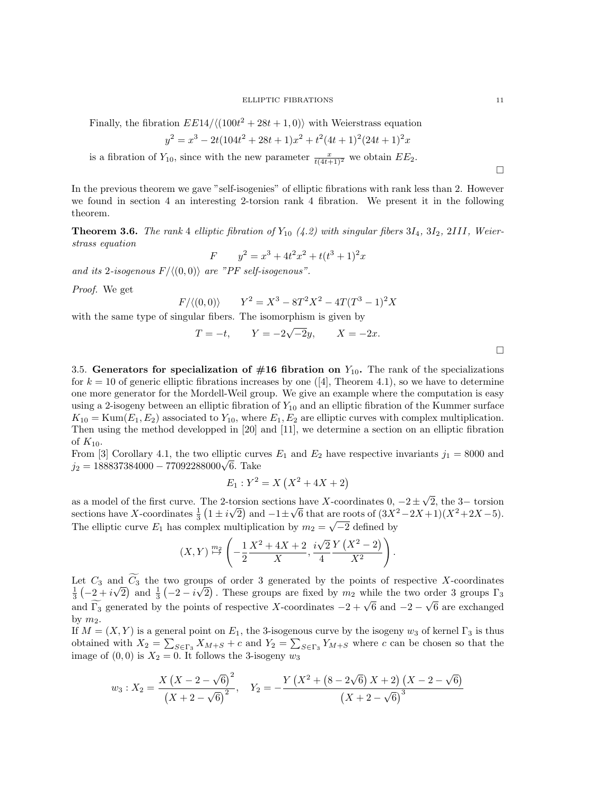Finally, the fibration  $E\left[\frac{E14}{100t^2 + 28t + 1, 0}\right)$  with Weierstrass equation

$$
y^{2} = x^{3} - 2t(104t^{2} + 28t + 1)x^{2} + t^{2}(4t + 1)^{2}(24t + 1)^{2}x
$$

is a fibration of  $Y_{10}$ , since with the new parameter  $\frac{x}{t(4t+1)^2}$  we obtain  $EE_2$ .

In the previous theorem we gave "self-isogenies" of elliptic fibrations with rank less than 2. However we found in section 4 an interesting 2-torsion rank 4 fibration. We present it in the following theorem.

**Theorem 3.6.** The rank 4 elliptic fibration of  $Y_{10}$  (4.2) with singular fibers  $3I_4$ ,  $3I_2$ ,  $2III$ , Weierstrass equation

$$
F \qquad y^2 = x^3 + 4t^2x^2 + t(t^3 + 1)^2x
$$

and its 2-isogenous  $F/\langle(0, 0)\rangle$  are "PF self-isogenous".

Proof. We get

$$
F/\langle (0,0) \rangle
$$
  $Y^2 = X^3 - 8T^2X^2 - 4T(T^3 - 1)^2X$ 

with the same type of singular fibers. The isomorphism is given by

$$
T = -t
$$
,  $Y = -2\sqrt{-2}y$ ,  $X = -2x$ .

3.5. Generators for specialization of  $#16$  fibration on  $Y_{10}$ . The rank of the specializations for  $k = 10$  of generic elliptic fibrations increases by one ([4], Theorem 4.1), so we have to determine one more generator for the Mordell-Weil group. We give an example where the computation is easy using a 2-isogeny between an elliptic fibration of  $Y_{10}$  and an elliptic fibration of the Kummer surface  $K_{10} = \text{Kum}(E_1, E_2)$  associated to  $Y_{10}$ , where  $E_1, E_2$  are elliptic curves with complex multiplication. Then using the method developped in [20] and [11], we determine a section on an elliptic fibration of  $K_{10}$ .

From [3] Corollary 4.1, the two elliptic curves  $E_1$  and  $E_2$  have respective invariants  $j_1 = 8000$  and From [5] Coronary 4.1, the two emptic curves  $j_2 = 188837384000 - 77092288000\sqrt{6}$ . Take

$$
E_1: Y^2 = X(X^2 + 4X + 2)
$$

as a model of the first curve. The 2-torsion sections have X-coordinates  $0, -2 \pm$ √ torsion sections have X-coordinates  $0, -2 \pm \sqrt{2}$ , the 3– torsion sections have X-coordinates  $\frac{1}{3}$   $(1 \pm i\sqrt{2})$  and  $-1 \pm \sqrt{6}$  that are roots of  $(3X^2 - 2X + 1)(X^2 + 2X - 5)$ . The elliptic curve  $E_1$  has complex multiplication by  $m_2 = \sqrt{-2}$  defined by

$$
(X,Y) \stackrel{m_2}{\mapsto} \left(-\frac{1}{2}\frac{X^2+4X+2}{X}, \frac{i\sqrt{2}}{4}\frac{Y(X^2-2)}{X^2}\right).
$$

Let  $C_3$  and  $C_3$  the two groups of order 3 generated by the points of respective X-coordinates  $\frac{1}{3}(-2+i\sqrt{2})$  and  $\frac{1}{3}(-2-i\sqrt{2})$ . These groups are fixed by  $m_2$  while the two order 3 groups  $\Gamma_3$ √  $\overline{2}$ ) and  $\frac{1}{3}$  (-2 – *i* µi 2). These groups are fixed by  $m_2$  while the two order 3 groups  $\Gamma_3$  $\frac{3}{2}$  ( $\frac{2}{2}$   $\frac{1}{2}$   $\frac{1}{2}$   $\frac{1}{2}$   $\frac{1}{2}$ ). These groups are fixed by  $m_2$  while the two order 5 groups  $1\frac{1}{3}$ <br>and  $\frac{1}{2}$  generated by the points of respective X-coordinates  $-2 + \sqrt{6}$  and  $-2 - \$ by  $m_2$ .

If  $M = (X, Y)$  is a general point on  $E_1$ , the 3-isogenous curve by the isogeny  $w_3$  of kernel  $\Gamma_3$  is thus obtained with  $X_2 = \sum_{S \in \Gamma_3} X_{M+S} + c$  and  $Y_2 = \sum_{S \in \Gamma_3} Y_{M+S}$  where c can be chosen so that the image of  $(0, 0)$  is  $X_2 = 0$ . It follows the 3-isogeny  $w_3$ 

$$
w_3: X_2 = \frac{X (X - 2 - \sqrt{6})^2}{(X + 2 - \sqrt{6})^2}, \quad Y_2 = -\frac{Y (X^2 + (8 - 2\sqrt{6}) X + 2) (X - 2 - \sqrt{6})}{(X + 2 - \sqrt{6})^3}
$$

 $\Box$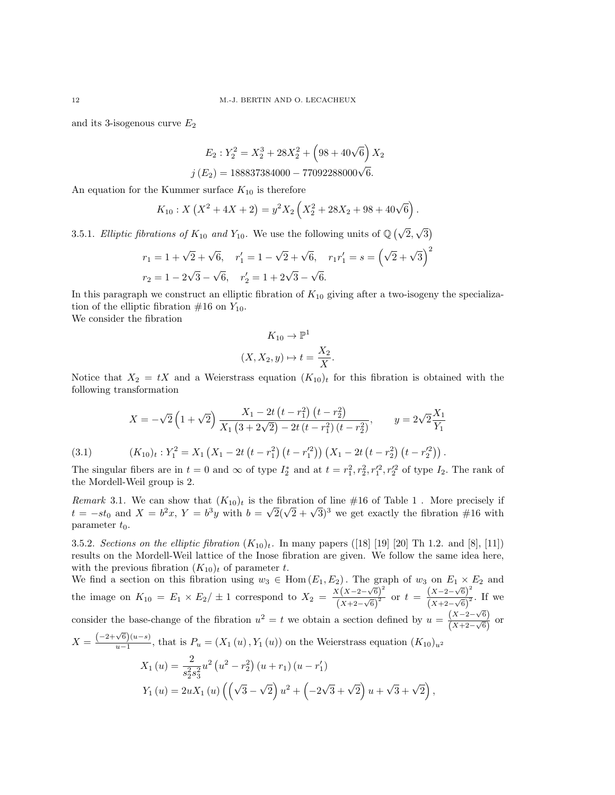and its 3-isogenous curve  $E_2$ 

$$
E_2: Y_2^2 = X_2^3 + 28X_2^2 + (98 + 40\sqrt{6}) X_2
$$
  

$$
j(E_2) = 188837384000 - 77092288000\sqrt{6}.
$$

An equation for the Kummer surface  $K_{10}$  is therefore

$$
K_{10}: X(X^{2} + 4X + 2) = y^{2} X_{2} \left( X_{2}^{2} + 28X_{2} + 98 + 40\sqrt{6} \right).
$$

3.5.1. Elliptic fibrations of  $K_{10}$  and  $Y_{10}$ . We use the following units of  $\mathbb{Q}(\sqrt{2},$ √ 3

$$
r_1 = 1 + \sqrt{2} + \sqrt{6}, \quad r_1' = 1 - \sqrt{2} + \sqrt{6}, \quad r_1 r_1' = s = (\sqrt{2} + \sqrt{3})^2
$$
  

$$
r_2 = 1 - 2\sqrt{3} - \sqrt{6}, \quad r_2' = 1 + 2\sqrt{3} - \sqrt{6}.
$$

In this paragraph we construct an elliptic fibration of  $K_{10}$  giving after a two-isogeny the specialization of the elliptic fibration  $\#16$  on  $Y_{10}$ .

We consider the fibration

$$
K_{10} \to \mathbb{P}^1
$$

$$
(X, X_2, y) \mapsto t = \frac{X_2}{X}.
$$

Notice that  $X_2 = tX$  and a Weierstrass equation  $(K_{10})_t$  for this fibration is obtained with the following transformation

$$
X = -\sqrt{2} \left( 1 + \sqrt{2} \right) \frac{X_1 - 2t \left( t - r_1^2 \right) \left( t - r_2^2 \right)}{X_1 \left( 3 + 2\sqrt{2} \right) - 2t \left( t - r_1^2 \right) \left( t - r_2^2 \right)}, \qquad y = 2\sqrt{2} \frac{X_1}{Y_1}
$$
\n
$$
(3.1) \qquad (K_{10})_t : Y_1^2 = X_1 \left( X_1 - 2t \left( t - r_1^2 \right) \left( t - r_1'^2 \right) \right) \left( X_1 - 2t \left( t - r_2^2 \right) \left( t - r_2'^2 \right) \right).
$$

The singular fibers are in  $t=0$  and  $\infty$  of type  $I_2^*$  and at  $t=r_1^2, r_2^2, r_1'^2, r_2'^2$  of type  $I_2$ . The rank of the Mordell-Weil group is 2.

Remark 3.1. We can show that  $(K_{10})_t$  is the fibration of line #16 of Table 1. More precisely if t =  $-st_0$  and  $X = b^2x$ ,  $Y = b^3y$  with  $b = \sqrt{2}(\sqrt{2} + \sqrt{3})^3$  we get exactly the fibration #16 with parameter  $t_0$ .

3.5.2. Sections on the elliptic fibration  $(K_{10})_t$ . In many papers ([18] [19] [20] Th 1.2. and [8], [11]) results on the Mordell-Weil lattice of the Inose fibration are given. We follow the same idea here, with the previous fibration  $(K_{10})_t$  of parameter t.

We find a section on this fibration using  $w_3 \in \text{Hom}(E_1, E_2)$ . The graph of  $w_3$  on  $E_1 \times E_2$  and the image on  $K_{10} = E_1 \times E_2 / \pm 1$  correspond to  $X_2 = \frac{X(X-2-\sqrt{6})^2}{(X+2-\sqrt{6})^2}$  $\frac{x(x-2-\sqrt{6})^2}{(x+2-\sqrt{6})^2}$  or  $t = \frac{(x-2-\sqrt{6})^2}{(x+2-\sqrt{6})^2}$  $\frac{(X-2-\sqrt{6})^2}{(X+2-\sqrt{6})^2}$ . If we consider the base-change of the fibration  $u^2 = t$  we obtain a section defined by  $u = \frac{(X-2-\sqrt{6})}{(X+2-\sqrt{6})}$ √  $\frac{(X-2-\sqrt{6})}{(X+2-\sqrt{6})}$  or  $X = \frac{(-2+\sqrt{6})(u-s)}{u-1}$  $\frac{\partial^{0}(u-s)}{\partial u-1}$ , that is  $P_u = (X_1(u), Y_1(u))$  on the Weierstrass equation  $(K_{10})_{u^2}$  $X_1(u) = \frac{2}{s_2^2 s_3^2}$  $u^{2}\left(u^{2}-r_{2}^{2}\right)\left(u+r_{1}\right)\left(u-r_{1}'\right)$  $Y_1(u) = 2uX_1(u)\left(\sqrt{3} - \frac{1}{2}u\right)$ √  $\left( \frac{1}{2} \right) u^2 + \left( -2 \right)$  $\sqrt{3} + \sqrt{2}$  u +  $\sqrt{3} + \sqrt{2}$ ,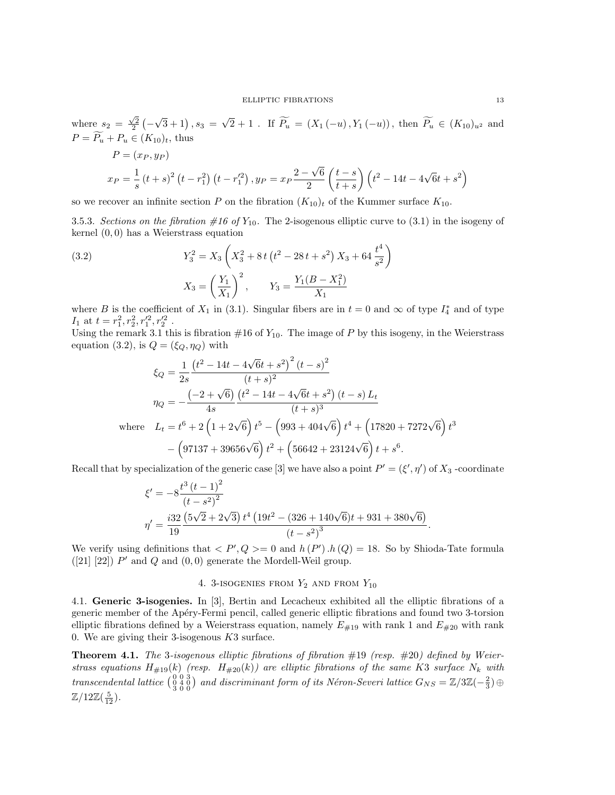where  $s_2 = \frac{\sqrt{2}}{2}$  (- $\sqrt{3}+1, s_3 =$ √ 2 + 1 . If  $P_u = (X_1(-u), Y_1(-u))$ , then  $P_u \in (K_{10})_{u^2}$  and  $P = \widetilde{P_u} + P_u \in (K_{10})_t$ , thus

$$
P = (x_P, y_P)
$$
  

$$
x_P = \frac{1}{s} (t + s)^2 (t - r_1^2) (t - r_1'^2), y_P = x_P \frac{2 - \sqrt{6}}{2} \left(\frac{t - s}{t + s}\right) (t^2 - 14t - 4\sqrt{6}t + s^2)
$$

so we recover an infinite section P on the fibration  $(K_{10})_t$  of the Kummer surface  $K_{10}$ .

3.5.3. Sections on the fibration  $\#16$  of  $Y_{10}$ . The 2-isogenous elliptic curve to (3.1) in the isogeny of kernel (0, 0) has a Weierstrass equation

(3.2) 
$$
Y_3^2 = X_3 \left( X_3^2 + 8t \left( t^2 - 28t + s^2 \right) X_3 + 64 \frac{t^4}{s^2} \right)
$$

$$
X_3 = \left( \frac{Y_1}{X_1} \right)^2, \qquad Y_3 = \frac{Y_1 (B - X_1^2)}{X_1}
$$

where B is the coefficient of  $X_1$  in (3.1). Singular fibers are in  $t=0$  and  $\infty$  of type  $I_4^*$  and of type  $I_1$  at  $t = r_1^2, r_2^2, r_1'^2, r_2'^2$ .

Using the remark 3.1 this is fibration  $#16$  of  $Y_{10}$ . The image of P by this isogeny, in the Weierstrass equation (3.2), is  $Q = (\xi_Q, \eta_Q)$  with

$$
\xi_Q = \frac{1}{2s} \frac{\left(t^2 - 14t - 4\sqrt{6}t + s^2\right)^2 (t - s)^2}{(t + s)^2}
$$
\n
$$
\eta_Q = -\frac{\left(-2 + \sqrt{6}\right) \left(t^2 - 14t - 4\sqrt{6}t + s^2\right) (t - s) L_t}{4s} \text{where } L_t = t^6 + 2\left(1 + 2\sqrt{6}\right)t^5 - \left(993 + 404\sqrt{6}\right)t^4 + \left(17820 + 7272\sqrt{6}\right)t^3 - \left(97137 + 39656\sqrt{6}\right)t^2 + \left(56642 + 23124\sqrt{6}\right)t + s^6.
$$

Recall that by specialization of the generic case [3] we have also a point  $P' = (\xi', \eta')$  of  $X_3$ -coordinate

$$
\xi' = -8 \frac{t^3 (t-1)^2}{(t-s^2)^2}
$$
  

$$
\eta' = \frac{i32}{19} \frac{(5\sqrt{2} + 2\sqrt{3}) t^4 (19t^2 - (326 + 140\sqrt{6})t + 931 + 380\sqrt{6})}{(t-s^2)^3}.
$$

We verify using definitions that  $\langle P', Q \rangle = 0$  and  $h(P') \cdot h(Q) = 18$ . So by Shioda-Tate formula  $([21] [22])$  P' and Q and  $(0, 0)$  generate the Mordell-Weil group.

# 4. 3-ISOGENIES FROM  $Y_2$  and from  $Y_{10}$

4.1. Generic 3-isogenies. In [3], Bertin and Lecacheux exhibited all the elliptic fibrations of a generic member of the Apéry-Fermi pencil, called generic elliptic fibrations and found two 3-torsion elliptic fibrations defined by a Weierstrass equation, namely  $E_{\#19}$  with rank 1 and  $E_{\#20}$  with rank 0. We are giving their 3-isogenous K3 surface.

**Theorem 4.1.** The 3-isogenous elliptic fibrations of fibration  $\#19$  (resp.  $\#20$ ) defined by Weierstrass equations  $H_{\#19}(k)$  (resp.  $H_{\#20}(k)$ ) are elliptic fibrations of the same K3 surface  $N_k$  with transcendental lattice  $\binom{0}{3}\frac{1}{6}\frac{3}{0}$  and discriminant form of its Néron-Severi lattice  $G_{NS}=\mathbb{Z}/3\mathbb{Z}(-\frac{2}{3})\oplus$  $\mathbb{Z}/12\mathbb{Z}(\frac{5}{12}).$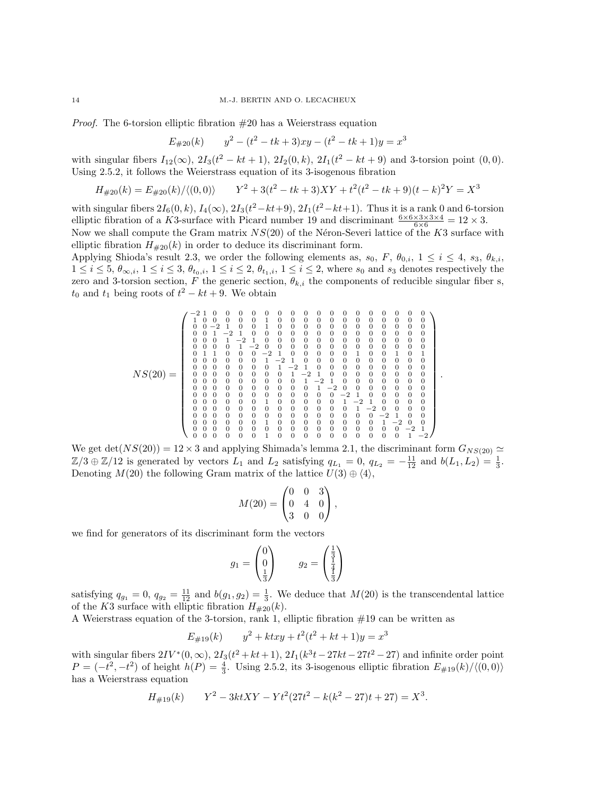*Proof.* The 6-torsion elliptic fibration  $#20$  has a Weierstrass equation

$$
E_{\#20}(k) \qquad y^2 - (t^2 - tk + 3)xy - (t^2 - tk + 1)y = x^3
$$

with singular fibers  $I_{12}(\infty)$ ,  $2I_3(t^2 - kt + 1)$ ,  $2I_2(0, k)$ ,  $2I_1(t^2 - kt + 9)$  and 3-torsion point  $(0, 0)$ . Using 2.5.2, it follows the Weierstrass equation of its 3-isogenous fibration

$$
H_{\#20}(k) = E_{\#20}(k) / \langle (0,0) \rangle \qquad Y^2 + 3(t^2 - tk + 3)XY + t^2(t^2 - tk + 9)(t - k)^2Y = X^3
$$

with singular fibers  $2I_6(0,k)$ ,  $I_4(\infty)$ ,  $2I_3(t^2-kt+9)$ ,  $2I_1(t^2-kt+1)$ . Thus it is a rank 0 and 6-torsion elliptic fibration of a K3-surface with Picard number 19 and discriminant  $\frac{6 \times 6 \times 3 \times 3 \times 4}{6 \times 6} = 12 \times 3$ . Now we shall compute the Gram matrix  $NS(20)$  of the Néron-Severi lattice of the K3 surface with

elliptic fibration  $H_{\#20}(k)$  in order to deduce its discriminant form.

Applying Shioda's result 2.3, we order the following elements as,  $s_0$ ,  $F$ ,  $\theta_{0,i}$ ,  $1 \le i \le 4$ ,  $s_3$ ,  $\theta_{k,i}$ ,  $1 \leq i \leq 5$ ,  $\theta_{\infty,i}$ ,  $1 \leq i \leq 3$ ,  $\theta_{t_0,i}$ ,  $1 \leq i \leq 2$ ,  $\theta_{t_1,i}$ ,  $1 \leq i \leq 2$ , where  $s_0$  and  $s_3$  denotes respectively the zero and 3-torsion section, F the generic section,  $\theta_{k,i}$  the components of reducible singular fiber s,  $t_0$  and  $t_1$  being roots of  $t^2 - kt + 9$ . We obtain

NS(20) = −2 1 0 0 0 0 0 0 0 0 0 0 0 0 0 0 0 0 0 1 0 0 0 0 0 1 0 0 0 0 0 0 0 0 0 0 0 0 0 0 −2 1 0 0 1 0 0 0 0 0 0 0 0 0 0 0 0 0 0 1 −2 1 0 0 0 0 0 0 0 0 0 0 0 0 0 0 0 0 0 1 −2 1 0 0 0 0 0 0 0 0 0 0 0 0 0 0 0 0 0 1 −2 0 0 0 0 0 0 0 0 0 0 0 0 0 0 1 1 0 0 0 −2 1 0 0 0 0 0 1 0 0 1 0 1 0 0 0 0 0 0 1 −2 1 0 0 0 0 0 0 0 0 0 0 0 0 0 0 0 0 0 1 −2 1 0 0 0 0 0 0 0 0 0 0 0 0 0 0 0 0 0 1 −2 1 0 0 0 0 0 0 0 0 0 0 0 0 0 0 0 0 0 1 −2 1 0 0 0 0 0 0 0 0 0 0 0 0 0 0 0 0 0 1 −2 0 0 0 0 0 0 0 0 0 0 0 0 0 0 0 0 0 0 0 −2 1 0 0 0 0 0 0 0 0 0 0 0 1 0 0 0 0 0 1 −2 1 0 0 0 0 0 0 0 0 0 0 0 0 0 0 0 0 0 1 −2 0 0 0 0 0 0 0 0 0 0 0 0 0 0 0 0 0 0 0 −2 1 0 0 0 0 0 0 0 0 1 0 0 0 0 0 0 0 0 1 −2 0 0 0 0 0 0 0 0 0 0 0 0 0 0 0 0 0 0 0 −2 1 0 0 0 0 0 0 1 0 0 0 0 0 0 0 0 0 0 1 −2 .

We get det( $NS(20)$ ) = 12 × 3 and applying Shimada's lemma 2.1, the discriminant form  $G_{NS(20)} \simeq$  $\mathbb{Z}/3 \oplus \mathbb{Z}/12$  is generated by vectors  $L_1$  and  $L_2$  satisfying  $q_{L_1} = 0$ ,  $q_{L_2} = -\frac{11}{12}$  and  $b(L_1, L_2) = \frac{1}{3}$ . Denoting  $M(20)$  the following Gram matrix of the lattice  $U(3) \oplus \langle 4 \rangle$ ,

$$
M(20) = \begin{pmatrix} 0 & 0 & 3 \\ 0 & 4 & 0 \\ 3 & 0 & 0 \end{pmatrix},
$$

we find for generators of its discriminant form the vectors

$$
g_1 = \begin{pmatrix} 0 \\ 0 \\ \frac{1}{3} \end{pmatrix} \qquad g_2 = \begin{pmatrix} \frac{1}{3} \\ \frac{1}{4} \\ \frac{1}{3} \end{pmatrix}
$$

satisfying  $q_{g_1} = 0$ ,  $q_{g_2} = \frac{11}{12}$  and  $b(g_1, g_2) = \frac{1}{3}$ . We deduce that  $M(20)$  is the transcendental lattice of the K3 surface with elliptic fibration  $H_{\#20}(k)$ .

A Weierstrass equation of the 3-torsion, rank 1, elliptic fibration #19 can be written as

$$
E_{\#19}(k) \qquad y^2 + ktxy + t^2(t^2 + kt + 1)y = x^3
$$

with singular fibers  $2IV^*(0, \infty)$ ,  $2I_3(t^2 + kt + 1)$ ,  $2I_1(k^3t - 27kt - 27t^2 - 27)$  and infinite order point  $P = (-t^2, -t^2)$  of height  $h(P) = \frac{4}{3}$ . Using 2.5.2, its 3-isogenous elliptic fibration  $E_{\#19}(k)/\langle (0, 0) \rangle$ has a Weierstrass equation

$$
H_{\#19}(k) \qquad Y^2 - 3ktXY - Yt^2(27t^2 - k(k^2 - 27)t + 27) = X^3.
$$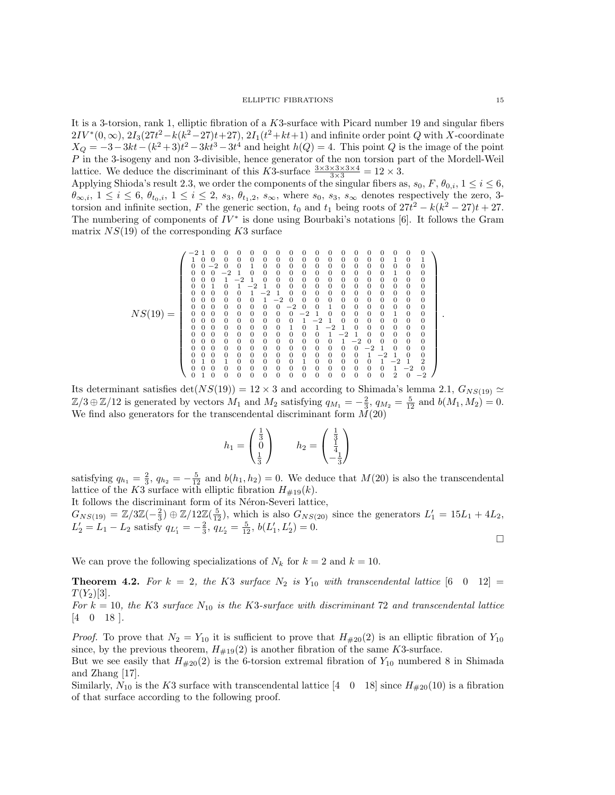It is a 3-torsion, rank 1, elliptic fibration of a K3-surface with Picard number 19 and singular fibers  $2IV^{*}(0, \infty), 2I_{3}(27t^{2} - k(k^{2} - 27)t + 27), 2I_{1}(t^{2} + kt + 1)$  and infinite order point Q with X-coordinate  $X_Q = -3 - 3kt - (k^2 + 3)t^2 - 3kt^3 - 3t^4$  and height  $h(Q) = 4$ . This point Q is the image of the point P in the 3-isogeny and non 3-divisible, hence generator of the non torsion part of the Mordell-Weil lattice. We deduce the discriminant of this K3-surface  $\frac{3 \times 3 \times 3 \times 3 \times 4}{3 \times 3} = 12 \times 3$ .

Applying Shioda's result 2.3, we order the components of the singular fibers as,  $s_0$ ,  $F$ ,  $\theta_{0,i}$ ,  $1 \le i \le 6$ ,  $\theta_{\infty,i}$ ,  $1 \leq i \leq 6$ ,  $\theta_{t_0,i}$ ,  $1 \leq i \leq 2$ ,  $s_3$ ,  $\theta_{t_1,2}$ ,  $s_{\infty}$ , where  $s_0$ ,  $s_3$ ,  $s_{\infty}$  denotes respectively the zero, 3torsion and infinite section, F the generic section,  $t_0$  and  $t_1$  being roots of  $27t^2 - k(k^2 - 27)t + 27$ . The numbering of components of  $IV^*$  is done using Bourbaki's notations [6]. It follows the Gram matrix  $NS(19)$  of the corresponding K3 surface

NS(19) = −2 1 0 0 0 0 0 0 0 0 0 0 0 0 0 0 0 0 0 1 0 0 0 0 0 0 0 0 0 0 0 0 0 0 0 1 0 1 0 0 −2 0 0 1 0 0 0 0 0 0 0 0 0 0 0 0 0 0 0 0 −2 1 0 0 0 0 0 0 0 0 0 0 0 1 0 0 0 0 0 1 −2 1 0 0 0 0 0 0 0 0 0 0 0 0 0 0 0 1 0 1 −2 1 0 0 0 0 0 0 0 0 0 0 0 0 0 0 0 0 0 1 −2 1 0 0 0 0 0 0 0 0 0 0 0 0 0 0 0 0 0 1 −2 0 0 0 0 0 0 0 0 0 0 0 0 0 0 0 0 0 0 0 −2 0 0 1 0 0 0 0 0 0 0 0 0 0 0 0 0 0 0 0 −2 1 0 0 0 0 0 1 0 0 0 0 0 0 0 0 0 0 0 1 −2 1 0 0 0 0 0 0 0 0 0 0 0 0 0 0 0 1 0 1 −2 1 0 0 0 0 0 0 0 0 0 0 0 0 0 0 0 0 0 1 −2 1 0 0 0 0 0 0 0 0 0 0 0 0 0 0 0 0 0 1 −2 0 0 0 0 0 0 0 0 0 0 0 0 0 0 0 0 0 0 0 −2 1 0 0 0 0 0 0 0 0 0 0 0 0 0 0 0 0 0 1 −2 1 0 0 0 1 0 1 0 0 0 0 0 1 0 0 0 0 0 1 −2 1 2 0 0 0 0 0 0 0 0 0 0 0 0 0 0 0 0 1 −2 0 0 1 0 0 0 0 0 0 0 0 0 0 0 0 0 0 2 0 −2 .

Its determinant satisfies  $det(NS(19)) = 12 \times 3$  and according to Shimada's lemma 2.1,  $G_{NS(19)} \simeq$  $\mathbb{Z}/3 \oplus \mathbb{Z}/12$  is generated by vectors  $M_1$  and  $M_2$  satisfying  $q_{M_1} = -\frac{2}{3}$ ,  $q_{M_2} = \frac{5}{12}$  and  $b(M_1, M_2) = 0$ . We find also generators for the transcendental discriminant form  $\tilde{M}(20)$ 

$$
h_1 = \begin{pmatrix} \frac{1}{3} \\ 0 \\ \frac{1}{3} \end{pmatrix}
$$
  $h_2 = \begin{pmatrix} \frac{1}{3} \\ \frac{1}{4} \\ -\frac{1}{3} \end{pmatrix}$ 

satisfying  $q_{h_1} = \frac{2}{3}$ ,  $q_{h_2} = -\frac{5}{12}$  and  $b(h_1, h_2) = 0$ . We deduce that  $M(20)$  is also the transcendental lattice of the K3 surface with elliptic fibration  $H_{\#19}(k)$ .

It follows the discriminant form of its Néron-Severi lattice,

 $G_{NS(19)} = \mathbb{Z}/3\mathbb{Z}(-\frac{2}{3}) \oplus \mathbb{Z}/12\mathbb{Z}(\frac{5}{12})$ , which is also  $G_{NS(20)}$  since the generators  $L'_1 = 15L_1 + 4L_2$ ,  $L'_2 = L_1 - L_2$  satisfy  $q_{L'_1} = -\frac{2}{3}$ ,  $q_{L'_2} = \frac{5}{12}$ ,  $b(L'_1, L'_2) = 0$ .  $\Box$ 

We can prove the following specializations of  $N_k$  for  $k = 2$  and  $k = 10$ .

**Theorem 4.2.** For  $k = 2$ , the K3 surface  $N_2$  is  $Y_{10}$  with transcendental lattice [6 0 12] =  $T(Y_2)[3]$ .

For  $k = 10$ , the K3 surface  $N_{10}$  is the K3-surface with discriminant 72 and transcendental lattice [4 0 18 ].

*Proof.* To prove that  $N_2 = Y_{10}$  it is sufficient to prove that  $H_{\#20}(2)$  is an elliptic fibration of  $Y_{10}$ since, by the previous theorem,  $H_{\#19}(2)$  is another fibration of the same K3-surface.

But we see easily that  $H_{\#20}(2)$  is the 6-torsion extremal fibration of  $Y_{10}$  numbered 8 in Shimada and Zhang [17].

Similarly,  $N_{10}$  is the K3 surface with transcendental lattice  $\begin{bmatrix} 4 & 0 & 18 \end{bmatrix}$  since  $H_{\#20}(10)$  is a fibration of that surface according to the following proof.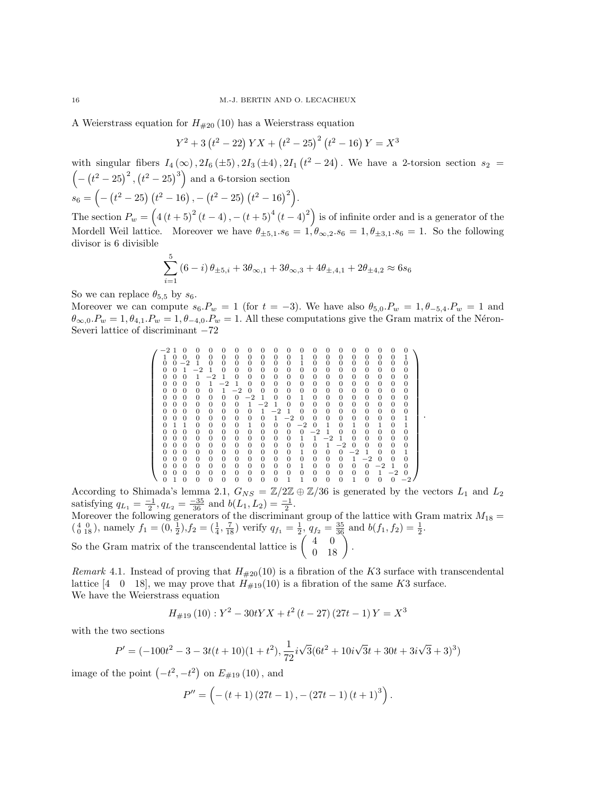A Weierstrass equation for  $H_{\#20}$  (10) has a Weierstrass equation

$$
Y^{2} + 3(t^{2} - 22) YX + (t^{2} - 25)^{2} (t^{2} - 16) Y = X^{3}
$$

with singular fibers  $I_4(\infty)$ ,  $2I_6(\pm 5)$ ,  $2I_3(\pm 4)$ ,  $2I_1(t^2-24)$ . We have a 2-torsion section  $s_2 =$  $(- (t^2 - 25)^2, (t^2 - 25)^3)$  and a 6-torsion section  $s_6 = \left(-\left(t^2-25\right)\left(t^2-16\right), -\left(t^2-25\right)\left(t^2-16\right)^2\right).$ 

The section  $P_w = (4(t+5)^2(t-4), -(t+5)^4(t-4)^2)$  is of infinite order and is a generator of the Mordell Weil lattice. Moreover we have  $\theta_{\pm 5,1.86} = 1, \theta_{\infty,2.86} = 1, \theta_{\pm 3,1.86} = 1$ . So the following divisor is 6 divisible

$$
\sum_{i=1}^{5} (6-i) \theta_{\pm 5,i} + 3 \theta_{\infty,1} + 3 \theta_{\infty,3} + 4 \theta_{\pm,4,1} + 2 \theta_{\pm 4,2} \approx 6 s_6
$$

So we can replace  $\theta_{5,5}$  by  $s_6$ .

Moreover we can compute  $s_6.P_w = 1$  (for  $t = -3$ ). We have also  $\theta_{5,0}.P_w = 1, \theta_{5,4}.P_w = 1$  and  $\theta_{\infty,0}.P_w = 1, \theta_{4,1}.P_w = 1, \theta_{-4,0}.P_w = 1.$  All these computations give the Gram matrix of the Néron-Severi lattice of discriminant −72

 −2 1 0 0 0 0 0 0 0 0 0 0 0 0 0 0 0 0 0 0 1 0 0 0 0 0 0 0 0 0 0 1 0 0 0 0 0 0 0 1 0 0 −2 1 0 0 0 0 0 0 0 1 0 0 0 0 0 0 0 0 0 0 1 −2 1 0 0 0 0 0 0 0 0 0 0 0 0 0 0 0 0 0 0 1 −2 1 0 0 0 0 0 0 0 0 0 0 0 0 0 0 0 0 0 0 1 −2 1 0 0 0 0 0 0 0 0 0 0 0 0 0 0 0 0 0 0 1 −2 0 0 0 0 0 0 0 0 0 0 0 0 0 0 0 0 0 0 0 0 −2 1 0 0 1 0 0 0 0 0 0 0 0 0 0 0 0 0 0 0 1 −2 1 0 0 0 0 0 0 0 0 0 0 0 0 0 0 0 0 0 0 1 −2 1 0 0 0 0 0 0 0 0 0 0 0 0 0 0 0 0 0 0 1 −2 0 0 0 0 0 0 0 0 1 0 1 1 0 0 0 0 1 0 0 0 −2 0 1 0 1 0 1 0 1 0 0 0 0 0 0 0 0 0 0 0 0 −2 1 0 0 0 0 0 0 0 0 0 0 0 0 0 0 0 0 0 1 1 −2 1 0 0 0 0 0 0 0 0 0 0 0 0 0 0 0 0 0 0 1 −2 0 0 0 0 0 0 0 0 0 0 0 0 0 0 0 0 1 0 0 0 −2 1 0 0 1 0 0 0 0 0 0 0 0 0 0 0 0 0 0 0 1 −2 0 0 0 0 0 0 0 0 0 0 0 0 0 0 1 0 0 0 0 0 −2 1 0 0 0 0 0 0 0 0 0 0 0 0 0 0 0 0 0 0 1 −2 0 0 1 0 0 0 0 0 0 0 0 1 1 0 0 0 1 0 0 0 −2 

.

According to Shimada's lemma 2.1,  $G_{NS} = \mathbb{Z}/2\mathbb{Z} \oplus \mathbb{Z}/36$  is generated by the vectors  $L_1$  and  $L_2$ satisfying  $q_{L_1} = \frac{-1}{2}, q_{L_2} = \frac{-35}{36}$  and  $b(L_1, L_2) = \frac{-1}{2}$ .

Moreover the following generators of the discriminant group of the lattice with Gram matrix  $M_{18} =$  $\left(\begin{smallmatrix} 4 & 0 \\ 0 & 18 \end{smallmatrix}\right)$ , namely  $f_1 = \left(0, \frac{1}{2}\right), f_2 = \left(\frac{1}{4}, \frac{7}{18}\right)$  verify  $q_{f_1} = \frac{1}{2}$ ,  $q_{f_2} = \frac{35}{36}$  and  $b(f_1, f_2) = \frac{1}{2}$ . So the Gram matrix of the transcendental lattice is  $\begin{pmatrix} 4 & 0 \\ 0 & 18 \end{pmatrix}$ .

Remark 4.1. Instead of proving that  $H_{\#20}(10)$  is a fibration of the K3 surface with transcendental lattice [4 0 18], we may prove that  $H_{\#19}(10)$  is a fibration of the same K3 surface. We have the Weierstrass equation

$$
H_{\#19}(10): Y^2 - 30tYX + t^2(t - 27)(27t - 1)Y = X^3
$$

with the two sections

$$
P'=(-100t^2-3-3t(t+10)(1+t^2),\frac{1}{72}i\sqrt{3}(6t^2+10i\sqrt{3}t+30t+3i\sqrt{3}+3)^3)
$$

image of the point  $(-t^2, -t^2)$  on  $E_{\#19}(10)$ , and

$$
P'' = \left( -(t+1) (27t-1), -(27t-1) (t+1)^3 \right).
$$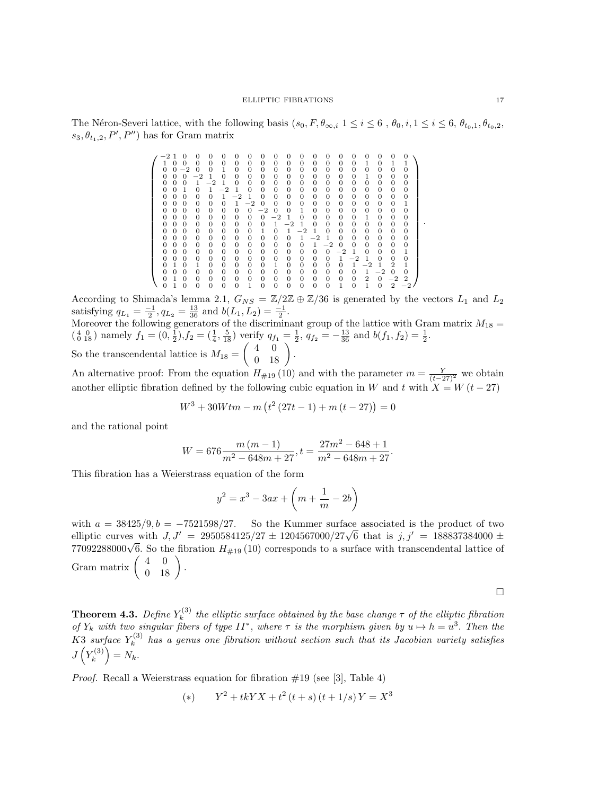The Néron-Severi lattice, with the following basis  $(s_0, F, \theta_{\infty,i} \ 1 \leq i \leq 6, \theta_0, i, 1 \leq i \leq 6, \theta_{t_0,1}, \theta_{t_0,2},$  $s_3, \theta_{t_1,2}, P', P'$  has for Gram matrix

|  |                |          | O        | 0        | 0       | 0              | 0        | 0        | 0              | 0              | 0              | O        | 0        | 0        | 0              |                |          | O        | $\Omega$ |                |
|--|----------------|----------|----------|----------|---------|----------------|----------|----------|----------------|----------------|----------------|----------|----------|----------|----------------|----------------|----------|----------|----------|----------------|
|  |                | 0        | 0        | 0        | 0       | 0              | $\Omega$ | 0        | 0              | 0              | 0              | 0        | $\Omega$ | $\theta$ | 0              | 0              | 1        | 0        | 1        |                |
|  | $\overline{0}$ | 0        | $-2$     | 0        | 0       | 1              | $\Omega$ | $\Omega$ | $\Omega$       | $\overline{0}$ | $\Omega$       | 0        | $\Omega$ | $\Omega$ | $\overline{0}$ | $\Omega$       | $\Omega$ | $\Omega$ | $\Omega$ | $\overline{0}$ |
|  | 0              | $\Omega$ | $\Omega$ | $^{-2}$  | 1       | $\Omega$       | $\Omega$ | $\Omega$ | 0              | 0              | 0              | 0        | $\Omega$ | $\Omega$ | 0              | 0              | 1        | $\Omega$ | $\Omega$ | 0              |
|  | 0              | $\Omega$ | 0        | 1        | $^{-2}$ | 1              | $\Omega$ | $\Omega$ | 0              | 0              | $\overline{0}$ | $\Omega$ | $\Omega$ | $\Omega$ | 0              | $\overline{0}$ | 0        | $\Omega$ | $\Omega$ | 0              |
|  | 0              | $\Omega$ | 1        | $\Omega$ | 1       | $^{-2}$        | 1        | $\Omega$ | 0              | 0              | $\overline{0}$ | 0        | $\Omega$ | 0        | 0              | 0              | 0        | 0        | $\Omega$ | 0              |
|  | 0              | $\Omega$ | 0        | $\Omega$ | 0       | 1              | $^{-2}$  | 1        | $\Omega$       | $\Omega$       | 0              | $\Omega$ | $\Omega$ | $\Omega$ | 0              | 0              | 0        | 0        | $\Omega$ | 0              |
|  | 0              | $\Omega$ | 0        | $\Omega$ | 0       | $\Omega$       | 1        | $-2$     | 0              | $\Omega$       | $\overline{0}$ | 0        | $\Omega$ | $\theta$ | $\overline{0}$ | $\overline{0}$ | 0        | 0        | $\Omega$ | 1              |
|  | 0              | $\Omega$ | 0        | $\Omega$ | 0       | 0              | $\Omega$ | $\Omega$ | $^{-2}$        | $\Omega$       | $\Omega$       | 1        | $\Omega$ | $\Omega$ | 0              | $\theta$       | 0        | 0        | $\Omega$ | $\overline{0}$ |
|  | 0              | $\Omega$ | 0        | 0        | 0       | $\overline{0}$ | $\Omega$ | $\Omega$ | $\overline{0}$ | $^{-2}$        | 1              | 0        | $\Omega$ | $\theta$ | 0              | 0              | 1        | $\Omega$ | 0        | 0              |
|  | 0              | $\Omega$ | 0        | $\Omega$ | 0       | 0              | $\Omega$ | $\Omega$ | $\Omega$       | 1              | $-2$           | 1        | $\Omega$ | $\Omega$ | 0              | 0              | 0        | 0        | $\Omega$ | 0              |
|  | 0              | $\Omega$ | 0        | $\Omega$ | 0       | $\Omega$       | $\Omega$ | $\Omega$ | 1              | $\Omega$       | 1              | $^{-2}$  | 1        | $\Omega$ | $\Omega$       | 0              | 0        | 0        | $\Omega$ | $\Omega$       |
|  | 0              | $\Omega$ | $\Omega$ | $\Omega$ | 0       | $\overline{0}$ | $\Omega$ | 0        | 0              | $\Omega$       | $\Omega$       | 1        | $^{-2}$  | -1       | $\Omega$       | 0              | 0        | $\Omega$ | $\Omega$ | 0              |
|  | 0              | $\Omega$ | $\Omega$ | $\Omega$ | 0       | $\Omega$       | $\Omega$ | $\Omega$ | 0              | $\Omega$       | $\Omega$       | 0        | 1        | $^{-2}$  | 0              | $\Omega$       | 0        | $\Omega$ | $\Omega$ | $\overline{0}$ |
|  | 0              | $\Omega$ | 0        | $\Omega$ | 0       | $\Omega$       | $\Omega$ | $\Omega$ | 0              | 0              | 0              | 0        | $\Omega$ | $\theta$ | $^{-2}$        | 1              | 0        | 0        | $\Omega$ | 1              |
|  | 0              | $\Omega$ | 0        | $\Omega$ | 0       | $\Omega$       | $\Omega$ | $\Omega$ | 0              | 0              | 0              | 0        | $\Omega$ | $\Omega$ | 1              | $^{-2}$        | 1        | 0        | $\Omega$ | $\Omega$       |
|  | 0              | 1        | 0        | 1        | 0       | $\overline{0}$ | $\Omega$ | 0        | $\theta$       | 1              | $\overline{0}$ | $\Omega$ | $\Omega$ | $\Omega$ | 0              | 1              | $^{-2}$  | 1        | 2        |                |
|  | 0              | $\Omega$ | 0        | 0        | 0       | 0              | $\theta$ | 0        | 0              | 0              | 0              | 0        | 0        | $\theta$ | 0              | 0              | 1        | $-2$     | $\Omega$ | 0              |
|  | 0              |          | 0        | $\Omega$ | 0       | 0              | $\Omega$ | $\Omega$ | 0              | 0              | 0              | 0        | $\Omega$ | $\Omega$ | 0              | 0              | 2        | $\Omega$ | $-2$     | 2              |
|  |                |          | 0        | 0        | 0       | $\Omega$       | $\Omega$ |          | $\Omega$       | $\Omega$       | $\Omega$       | 0        | 0        | $\Omega$ | 1              | $\Omega$       | 1        |          | 2        |                |

According to Shimada's lemma 2.1,  $G_{NS} = \mathbb{Z}/2\mathbb{Z} \oplus \mathbb{Z}/36$  is generated by the vectors  $L_1$  and  $L_2$ satisfying  $q_{L_1} = \frac{-1}{2}, q_{L_2} = \frac{13}{36}$  and  $b(L_1, L_2) = \frac{-1}{2}$ .

Moreover the following generators of the discriminant group of the lattice with Gram matrix  $M_{18} =$  $\left(\begin{smallmatrix} 4 & 0 \\ 0 & 18 \end{smallmatrix}\right)$  namely  $f_1 = \left(0, \frac{1}{2}\right), f_2 = \left(\frac{1}{4}, \frac{5}{18}\right)$  verify  $q_{f_1} = \frac{1}{2}$ ,  $q_{f_2} = -\frac{13}{36}$  and  $b(f_1, f_2) = \frac{1}{2}$ .

So the transcendental lattice is  $M_{18} = \begin{pmatrix} 4 & 0 \\ 0 & 18 \end{pmatrix}$ .

An alternative proof: From the equation  $H_{\#19}(10)$  and with the parameter  $m = \frac{Y}{(t-27)^2}$  we obtain another elliptic fibration defined by the following cubic equation in W and t with  $X = W(t - 27)$ 

$$
W^{3} + 30W \cdot tm - m\left(t^{2}\left(27t - 1\right) + m\left(t - 27\right)\right) = 0
$$

and the rational point

$$
W = 676 \frac{m (m-1)}{m^2 - 648m + 27}, t = \frac{27m^2 - 648 + 1}{m^2 - 648m + 27}.
$$

This fibration has a Weierstrass equation of the form

$$
y^{2} = x^{3} - 3ax + \left(m + \frac{1}{m} - 2b\right)
$$

with  $a = 38425/9, b = -7521598/27$ . So the Kummer surface associated is the product of two with  $a = 36425/9, b = -7521598/27$ . So the Kummer surface associated is the product of two<br>elliptic curves with  $J, J' = 2950584125/27 \pm 1204567000/27\sqrt{6}$  that is  $j, j' = 188837384000 \pm 1204567000/27$ emptic curves with  $J, J = 2950584125727 \pm 1204567000727\sqrt{6}$  that is  $J, J = 180857584000 \pm 77092288000\sqrt{6}$ . So the fibration  $H_{\#19}(10)$  corresponds to a surface with transcendental lattice of Gram matrix  $\left(\begin{array}{cc} 4 & 0 \\ 0 & 18 \end{array}\right)$ .

 $\Box$ 

Theorem 4.3.  $Define \ Y_{k}^{(3)}$  $\mathbf{z}_{k}^{(3)}$  the elliptic surface obtained by the base change  $\tau$  of the elliptic fibration of  $Y_k$  with two singular fibers of type  $II^*$ , where  $\tau$  is the morphism given by  $u \mapsto h = u^3$ . Then the K3 surface  $Y_k^{(3)}$  $\mathbf{F}_k^{(3)}$  has a genus one fibration without section such that its Jacobian variety satisfies  $J(Y_k^{(3)}$  ${k^{(3)} \choose k} = N_k.$ 

*Proof.* Recall a Weierstrass equation for fibration  $\#19$  (see [3], Table 4)

(\*) 
$$
Y^2 + tkYX + t^2(t + s)(t + 1/s)Y = X^3
$$

.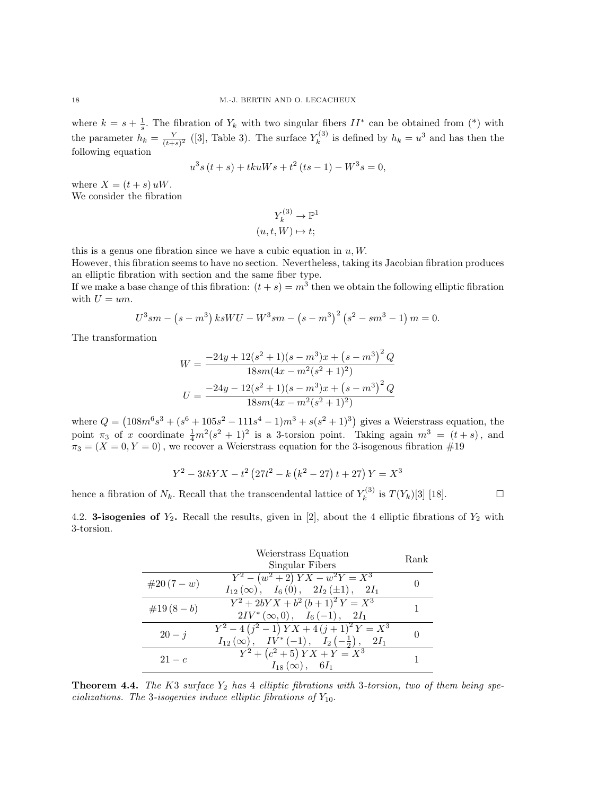where  $k = s + \frac{1}{s}$ . The fibration of  $Y_k$  with two singular fibers  $II^*$  can be obtained from (\*) with the parameter  $h_k = \frac{Y}{(t+1)}$  $\frac{Y}{(t+s)^2}$  ([3], Table 3). The surface  $Y_k^{(3)}$  $k_k^{(3)}$  is defined by  $h_k = u^3$  and has then the following equation

$$
u^{3}s(t+s) + tkuWs + t^{2}(ts-1) - W^{3}s = 0,
$$

where  $X = (t + s) uW$ . We consider the fibration

$$
Y_k^{(3)} \to \mathbb{P}^1
$$

$$
(u, t, W) \mapsto t;
$$

this is a genus one fibration since we have a cubic equation in  $u, W$ .

However, this fibration seems to have no section. Nevertheless, taking its Jacobian fibration produces an elliptic fibration with section and the same fiber type.

If we make a base change of this fibration:  $(t + s) = m^3$  then we obtain the following elliptic fibration with  $U = um$ .

$$
U^{3}sm - (s - m^{3}) k s W U - W^{3} s m - (s - m^{3})^{2} (s^{2} - s m^{3} - 1) m = 0.
$$

The transformation

$$
W = \frac{-24y + 12(s^2 + 1)(s - m^3)x + (s - m^3)^2 Q}{18sm(4x - m^2(s^2 + 1)^2)}
$$

$$
U = \frac{-24y - 12(s^2 + 1)(s - m^3)x + (s - m^3)^2 Q}{18sm(4x - m^2(s^2 + 1)^2)}
$$

where  $Q = (108m^6s^3 + (s^6 + 105s^2 - 111s^4 - 1)m^3 + s(s^2 + 1)^3)$  gives a Weierstrass equation, the point  $\pi_3$  of x coordinate  $\frac{1}{4}m^2(s^2+1)^2$  is a 3-torsion point. Taking again  $m^3 = (t + s)$ , and  $\pi_3 = (X = 0, Y = 0)$ , we recover a Weierstrass equation for the 3-isogenous fibration  $\#19$ 

$$
Y^{2} - 3tkYX - t^{2} (27t^{2} - k(k^{2} - 27) t + 27) Y = X^{3}
$$

hence a fibration of  $N_k$ . Recall that the transcendental lattice of  $Y_k^{(3)}$  $\binom{1}{k}$  is  $T(Y_k)[3]$  [18].

4.2. **3-isogenies of**  $Y_2$ . Recall the results, given in [2], about the 4 elliptic fibrations of  $Y_2$  with 3-torsion.

|             | Weierstrass Equation<br>Singular Fibers                                                        | Rank |
|-------------|------------------------------------------------------------------------------------------------|------|
| $\#20(7-w)$ | $Y^2 - (w^2 + 2) YX - w^2 Y = X^3$<br>$I_{12}(\infty)$ , $I_6(0)$ , $2I_2(\pm 1)$ , $2I_1$     |      |
| $\#19(8-b)$ | $Y^2 + 2bYX + b^2(b+1)^2Y = X^3$<br>$2IV^*(\infty,0), I_6(-1), 2I_1$                           |      |
| $20 - i$    | $Y^2-4(j^2-1)YX+4(j+1)^2Y=X^3$<br>$I_{12}(\infty)$ , $IV^*(-1)$ , $I_2(-\frac{1}{2})$ , $2I_1$ |      |
| $21-c$      | $Y^2 + (c^2 + 5) Y X + Y = X^3$<br>$I_{18}(\infty)$ , 6 $I_1$                                  |      |

**Theorem 4.4.** The K3 surface  $Y_2$  has 4 elliptic fibrations with 3-torsion, two of them being specializations. The 3-isogenies induce elliptic fibrations of  $Y_{10}$ .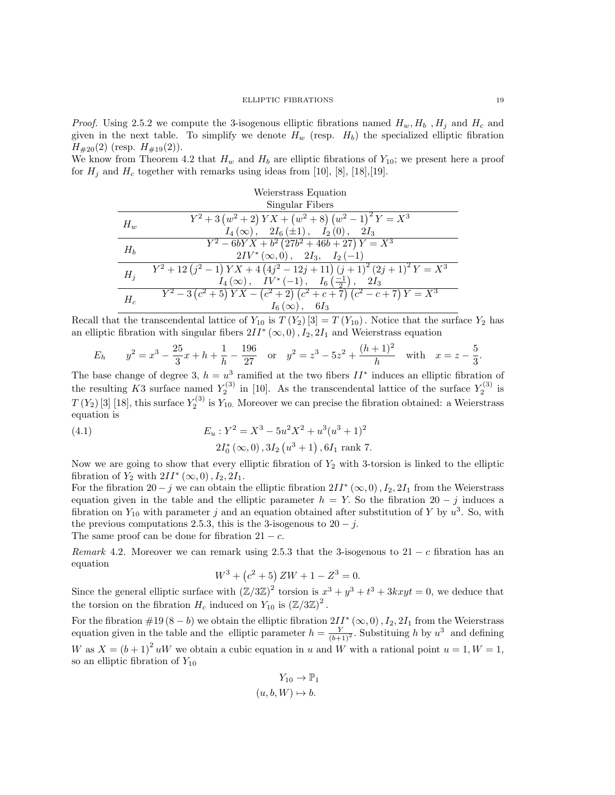*Proof.* Using 2.5.2 we compute the 3-isogenous elliptic fibrations named  $H_w, H_b, H_i$  and  $H_c$  and given in the next table. To simplify we denote  $H_w$  (resp.  $H_b$ ) the specialized elliptic fibration  $H_{\#20}(2)$  (resp.  $H_{\#19}(2)$ ).

We know from Theorem 4.2 that  $H_w$  and  $H_b$  are elliptic fibrations of  $Y_{10}$ ; we present here a proof for  $H_i$  and  $H_c$  together with remarks using ideas from [10], [8], [18], [19].

Weierstrass Equation  
\nSingular Fibers  
\n
$$
\frac{H_w}{H_w} \qquad Y^2 + 3 \left( w^2 + 2 \right) YX + \left( w^2 + 8 \right) \left( w^2 - 1 \right)^2 Y = X^3
$$
\n
$$
\frac{I_4(\infty), \quad 2I_6(\pm 1), \quad I_2(0), \quad 2I_3}{Y^2 - 6bYX + b^2 \left( 27b^2 + 46b + 27 \right) Y = X^3}
$$
\n
$$
\frac{2IV^*(\infty, 0), \quad 2I_3, \quad I_2(-1)}{H_j \qquad Y^2 + 12 \left( j^2 - 1 \right) YX + 4 \left( 4j^2 - 12j + 11 \right) \left( j + 1 \right)^2 \left( 2j + 1 \right)^2 Y = X^3}
$$
\n
$$
\frac{I_4(\infty), \quad IV^*(-1), \quad I_6\left( \frac{-1}{2} \right), \quad 2I_3}{I_6(\infty), \quad 6I_3}
$$

Recall that the transcendental lattice of  $Y_{10}$  is  $T(Y_2)[3] = T(Y_{10})$ . Notice that the surface  $Y_2$  has an elliptic fibration with singular fibers  $2II^*(\infty,0)$ ,  $I_2$ ,  $2I_1$  and Weierstrass equation

$$
E_h \t y^2 = x^3 - \frac{25}{3}x + h + \frac{1}{h} - \frac{196}{27} \quad \text{or} \quad y^2 = z^3 - 5z^2 + \frac{(h+1)^2}{h} \quad \text{with} \quad x = z - \frac{5}{3}.
$$

The base change of degree 3,  $h = u^3$  ramified at the two fibers  $II^*$  induces an elliptic fibration of the resulting K3 surface named  $Y_2^{(3)}$  in [10]. As the transcendental lattice of the surface  $Y_2^{(3)}$  is  $T(Y_2)$  [3] [18], this surface  $Y_2^{(3)}$  is  $Y_{10}$ . Moreover we can precise the fibration obtained: a Weierstrass equation is

(4.1) 
$$
E_u: Y^2 = X^3 - 5u^2X^2 + u^3(u^3 + 1)^2
$$

$$
2I_0^*(\infty, 0), 3I_2(u^3 + 1), 6I_1 \text{ rank } 7.
$$

Now we are going to show that every elliptic fibration of  $Y_2$  with 3-torsion is linked to the elliptic fibration of  $Y_2$  with  $2II^*(\infty,0)$ ,  $I_2$ ,  $2I_1$ .

For the fibration  $20 - j$  we can obtain the elliptic fibration  $2II^*(\infty, 0)$ ,  $I_2$ ,  $2I_1$  from the Weierstrass equation given in the table and the elliptic parameter  $h = Y$ . So the fibration 20 – j induces a fibration on  $Y_{10}$  with parameter j and an equation obtained after substitution of Y by  $u^3$ . So, with the previous computations 2.5.3, this is the 3-isogenous to  $20 - j$ .

The same proof can be done for fibration  $21 - c$ .

Remark 4.2. Moreover we can remark using 2.5.3 that the 3-isogenous to  $21 - c$  fibration has an equation

$$
W^3 + (c^2 + 5) ZW + 1 - Z^3 = 0.
$$

Since the general elliptic surface with  $(\mathbb{Z}/3\mathbb{Z})^2$  torsion is  $x^3 + y^3 + t^3 + 3kxyt = 0$ , we deduce that the torsion on the fibration  $H_c$  induced on  $Y_{10}$  is  $(\mathbb{Z}/3\mathbb{Z})^2$ .

For the fibration  $\#19(8-b)$  we obtain the elliptic fibration  $2II^*(\infty,0)$ ,  $I_2$ ,  $2I_1$  from the Weierstrass equation given in the table and the elliptic parameter  $h = \frac{Y}{(b+1)^2}$ . Substituing h by  $u^3$  and defining W as  $X = (b+1)^2 uW$  we obtain a cubic equation in u and W with a rational point  $u = 1, W = 1$ , so an elliptic fibration of  $Y_{10}$ 

$$
Y_{10} \to \mathbb{P}_1
$$

$$
(u, b, W) \mapsto b.
$$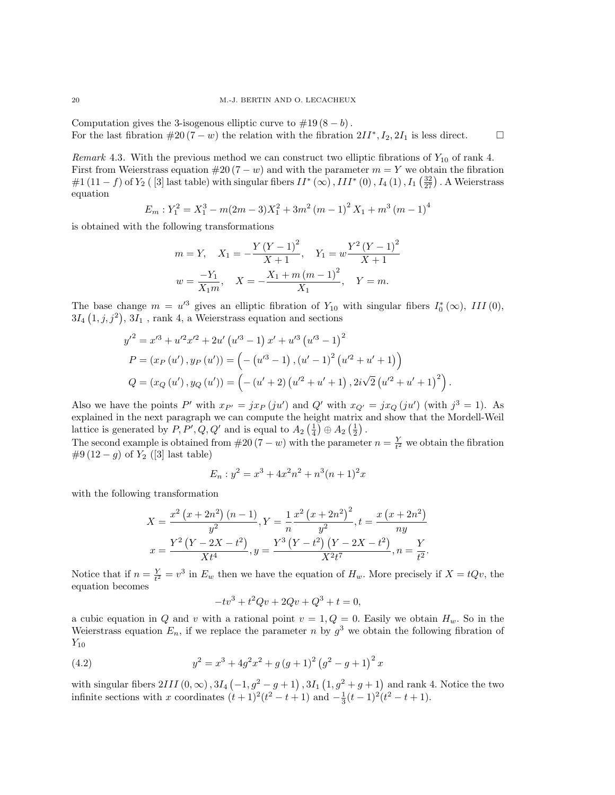Computation gives the 3-isogenous elliptic curve to  $\#19(8-b)$ . For the last fibration  $#20 (7 - w)$  the relation with the fibration  $2II^*, I_2, 2I_1$  is less direct.

Remark 4.3. With the previous method we can construct two elliptic fibrations of  $Y_{10}$  of rank 4. First from Weierstrass equation  $#20(7 - w)$  and with the parameter  $m = Y$  we obtain the fibration  $\#1(11-f)$  of  $Y_2$  ( [3] last table) with singular fibers  $II^*\left(\infty\right)$  ,  $III^*\left(0\right)$  ,  $I_4\left(1\right)$  ,  $I_1\left(\frac{32}{27}\right)$  . A Weierstrass equation

$$
E_m: Y_1^2 = X_1^3 - m(2m - 3)X_1^2 + 3m^2(m - 1)^2 X_1 + m^3(m - 1)^4
$$

is obtained with the following transformations

$$
m = Y, \quad X_1 = -\frac{Y (Y - 1)^2}{X + 1}, \quad Y_1 = w \frac{Y^2 (Y - 1)^2}{X + 1}
$$

$$
w = \frac{-Y_1}{X_1 m}, \quad X = -\frac{X_1 + m (m - 1)^2}{X_1}, \quad Y = m.
$$

The base change  $m = u'^3$  gives an elliptic fibration of  $Y_{10}$  with singular fibers  $I_0^*(\infty)$ , III(0),  $3I_4(1,j,j^2), 3I_1$ , rank 4, a Weierstrass equation and sections

$$
y'^{2} = x'^{3} + u'^{2}x'^{2} + 2u' (u'^{3} - 1) x' + u'^{3} (u'^{3} - 1)^{2}
$$
  
\n
$$
P = (x_{P}(u'), y_{P}(u')) = (-(u'^{3} - 1), (u' - 1)^{2} (u'^{2} + u' + 1))
$$
  
\n
$$
Q = (x_{Q}(u'), y_{Q}(u')) = (-(u' + 2) (u'^{2} + u' + 1), 2i\sqrt{2} (u'^{2} + u' + 1)^{2}).
$$

Also we have the points P' with  $x_{P'} = jx_P (ju')$  and Q' with  $x_{Q'} = jx_Q (ju')$  (with  $j^3 = 1$ ). As explained in the next paragraph we can compute the height matrix and show that the Mordell-Weil lattice is generated by  $P, P', Q, Q'$  and is equal to  $A_2(\frac{1}{4}) \oplus A_2(\frac{1}{2})$ .

The second example is obtained from  $#20(7 - w)$  with the parameter  $n = \frac{Y}{t^2}$  we obtain the fibration  $#9(12-g)$  of  $Y_2$  ([3] last table)

$$
E_n: y^2 = x^3 + 4x^2n^2 + n^3(n+1)^2x
$$

with the following transformation

$$
X = \frac{x^2 (x + 2n^2) (n - 1)}{y^2}, Y = \frac{1}{n} \frac{x^2 (x + 2n^2)^2}{y^2}, t = \frac{x (x + 2n^2)}{ny}
$$

$$
x = \frac{Y^2 (Y - 2X - t^2)}{X t^4}, y = \frac{Y^3 (Y - t^2) (Y - 2X - t^2)}{X^2 t^7}, n = \frac{Y}{t^2}.
$$

Notice that if  $n = \frac{Y}{t^2} = v^3$  in  $E_w$  then we have the equation of  $H_w$ . More precisely if  $X = tQv$ , the equation becomes

$$
-tv^3 + t^2Qv + 2Qv + Q^3 + t = 0,
$$

a cubic equation in Q and v with a rational point  $v = 1, Q = 0$ . Easily we obtain  $H_w$ . So in the Weierstrass equation  $E_n$ , if we replace the parameter n by  $g^3$  we obtain the following fibration of  $Y_{10}$ 

(4.2) 
$$
y^{2} = x^{3} + 4g^{2}x^{2} + g(g+1)^{2}(g^{2} - g + 1)^{2}x
$$

with singular fibers  $2III(0, \infty)$ ,  $3I_4(-1, g^2-g+1)$ ,  $3I_1(1, g^2+g+1)$  and rank 4. Notice the two infinite sections with x coordinates  $(t+1)^2(t^2-t+1)$  and  $-\frac{1}{3}(t-1)^2(t^2-t+1)$ .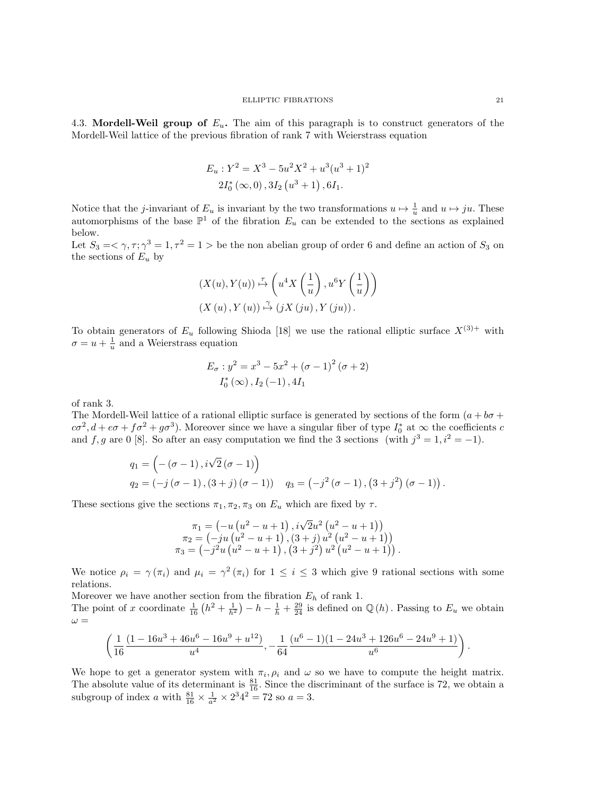4.3. Mordell-Weil group of  $E_u$ . The aim of this paragraph is to construct generators of the Mordell-Weil lattice of the previous fibration of rank 7 with Weierstrass equation

$$
E_u: Y^2 = X^3 - 5u^2X^2 + u^3(u^3 + 1)^2
$$
  
2I<sub>0</sub><sup>\*</sup> (∞, 0), 3I<sub>2</sub> (u<sup>3</sup> + 1), 6I<sub>1</sub>.

Notice that the j-invariant of  $E_u$  is invariant by the two transformations  $u \mapsto \frac{1}{u}$  and  $u \mapsto ju$ . These automorphisms of the base  $\mathbb{P}^1$  of the fibration  $E_u$  can be extended to the sections as explained below.

Let  $S_3 = \langle \gamma, \tau; \gamma^3 = 1, \tau^2 = 1 \rangle$  be the non abelian group of order 6 and define an action of  $S_3$  on the sections of  $E_u$  by

$$
(X(u), Y(u)) \stackrel{\tau}{\mapsto} \left(u^4 X\left(\frac{1}{u}\right), u^6 Y\left(\frac{1}{u}\right)\right)
$$
  

$$
(X(u), Y(u)) \stackrel{\gamma}{\mapsto} (jX(ju), Y(ju)).
$$

To obtain generators of  $E_u$  following Shioda [18] we use the rational elliptic surface  $X^{(3)+}$  with  $\sigma = u + \frac{1}{u}$  and a Weierstrass equation

$$
E_{\sigma}: y^{2} = x^{3} - 5x^{2} + (\sigma - 1)^{2} (\sigma + 2)
$$
  

$$
I_{0}^{*}(\infty), I_{2}(-1), 4I_{1}
$$

of rank 3.

The Mordell-Weil lattice of a rational elliptic surface is generated by sections of the form  $(a + b\sigma +$  $c\sigma^2$ ,  $d + e\sigma + f\sigma^2 + g\sigma^3$ ). Moreover since we have a singular fiber of type  $I_0^*$  at  $\infty$  the coefficients c and f, g are 0 [8]. So after an easy computation we find the 3 sections (with  $j^3 = 1, i^2 = -1$ ).

$$
q_1 = (-(\sigma - 1), i\sqrt{2} (\sigma - 1))
$$
  
\n
$$
q_2 = (-j (\sigma - 1), (3 + j) (\sigma - 1)) \quad q_3 = (-j^2 (\sigma - 1), (3 + j^2) (\sigma - 1)).
$$

These sections give the sections  $\pi_1, \pi_2, \pi_3$  on  $E_u$  which are fixed by  $\tau$ .

$$
\pi_1 = \left(-u\left(u^2 - u + 1\right), i\sqrt{2}u^2\left(u^2 - u + 1\right)\right) \n\pi_2 = \left(-ju\left(u^2 - u + 1\right), (3+j)u^2\left(u^2 - u + 1\right)\right) \n\pi_3 = \left(-j^2u\left(u^2 - u + 1\right), (3+j^2)u^2\left(u^2 - u + 1\right)\right).
$$

We notice  $\rho_i = \gamma(\pi_i)$  and  $\mu_i = \gamma^2(\pi_i)$  for  $1 \leq i \leq 3$  which give 9 rational sections with some relations.

Moreover we have another section from the fibration  $E_h$  of rank 1. The point of x coordinate  $\frac{1}{16}(h^2 + \frac{1}{h^2}) - h - \frac{1}{h} + \frac{29}{24}$  is defined on  $\mathbb{Q}(h)$ . Passing to  $E_u$  we obtain  $\omega =$ 

$$
\left(\frac{1}{16}\frac{(1-16u^3+46u^6-16u^9+u^{12})}{u^4},-\frac{1}{64}\frac{(u^6-1)(1-24u^3+126u^6-24u^9+1)}{u^6}\right).
$$

We hope to get a generator system with  $\pi_i$ ,  $\rho_i$  and  $\omega$  so we have to compute the height matrix. The absolute value of its determinant is  $\frac{81}{16}$ . Since the discriminant of the surface is 72, we obtain a subgroup of index a with  $\frac{81}{16} \times \frac{1}{a^2} \times 2^3 4^2 = 72$  so  $a = 3$ .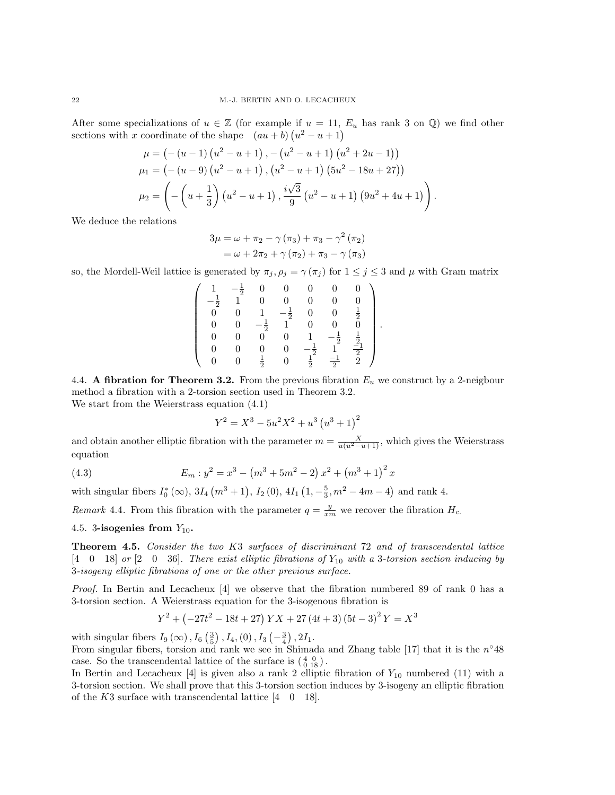After some specializations of  $u \in \mathbb{Z}$  (for example if  $u = 11$ ,  $E_u$  has rank 3 on  $\mathbb{Q}$ ) we find other sections with x coordinate of the shape  $(au + b)(u^2 - u + 1)$ 

$$
\mu = (-(u-1) (u^2 - u + 1), -(u^2 - u + 1) (u^2 + 2u - 1))
$$
  
\n
$$
\mu_1 = (-(u-9) (u^2 - u + 1), (u^2 - u + 1) (5u^2 - 18u + 27))
$$
  
\n
$$
\mu_2 = \left( -\left( u + \frac{1}{3} \right) (u^2 - u + 1), \frac{i\sqrt{3}}{9} (u^2 - u + 1) (9u^2 + 4u + 1) \right).
$$

We deduce the relations

$$
3\mu = \omega + \pi_2 - \gamma (\pi_3) + \pi_3 - \gamma^2 (\pi_2)
$$
  
=  $\omega + 2\pi_2 + \gamma (\pi_2) + \pi_3 - \gamma (\pi_3)$ 

so, the Mordell-Weil lattice is generated by  $\pi_j$ ,  $\rho_j = \gamma(\pi_j)$  for  $1 \leq j \leq 3$  and  $\mu$  with Gram matrix

$$
\left(\begin{array}{cccccc} 1 & -\frac{1}{2} & 0 & 0 & 0 & 0 & 0 \\ -\frac{1}{2} & 1 & 0 & 0 & 0 & 0 & 0 \\ 0 & 0 & 1 & -\frac{1}{2} & 0 & 0 & \frac{1}{2} \\ 0 & 0 & -\frac{1}{2} & 1 & 0 & 0 & 0 \\ 0 & 0 & 0 & 0 & 1 & -\frac{1}{2} & \frac{1}{2} \\ 0 & 0 & 0 & 0 & -\frac{1}{2} & 1 & \frac{-1}{2} \\ 0 & 0 & \frac{1}{2} & 0 & \frac{1}{2} & -\frac{1}{2} & 2 \end{array}\right).
$$

4.4. A fibration for Theorem 3.2. From the previous fibration  $E_u$  we construct by a 2-neigbour method a fibration with a 2-torsion section used in Theorem 3.2. We start from the Weierstrass equation (4.1)

$$
Y^2 = X^3 - 5u^2X^2 + u^3(u^3 + 1)^2
$$

and obtain another elliptic fibration with the parameter  $m = \frac{X}{u(u^2 - u + 1)}$ , which gives the Weierstrass equation

(4.3) 
$$
E_m : y^2 = x^3 - (m^3 + 5m^2 - 2) x^2 + (m^3 + 1)^2 x
$$

with singular fibers  $I_0^*(\infty)$ ,  $3I_4(m^3 + 1)$ ,  $I_2(0)$ ,  $4I_1(1, -\frac{5}{3}, m^2 - 4m - 4)$  and rank 4.

Remark 4.4. From this fibration with the parameter  $q = \frac{y}{xm}$  we recover the fibration  $H_c$ .

4.5. 3-isogenies from  $Y_{10}$ .

Theorem 4.5. Consider the two K3 surfaces of discriminant 72 and of transcendental lattice  $[4 \quad 0 \quad 18]$  or  $[2 \quad 0 \quad 36]$ . There exist elliptic fibrations of  $Y_{10}$  with a 3-torsion section inducing by 3-isogeny elliptic fibrations of one or the other previous surface.

Proof. In Bertin and Lecacheux [4] we observe that the fibration numbered 89 of rank 0 has a 3-torsion section. A Weierstrass equation for the 3-isogenous fibration is

$$
Y^{2} + \left(-27t^{2} - 18t + 27\right)YX + 27\left(4t + 3\right)\left(5t - 3\right)^{2}Y = X^{3}
$$

with singular fibers  $I_9(\infty)$ ,  $I_6(\frac{3}{5})$ ,  $I_4$ , (0),  $I_3(-\frac{3}{4})$ ,  $2I_1$ .

From singular fibers, torsion and rank we see in Shimada and Zhang table [17] that it is the  $n^{\circ}48$ case. So the transcendental lattice of the surface is  $\begin{pmatrix} 4 & 0 \\ 0 & 18 \end{pmatrix}$ .

In Bertin and Lecacheux [4] is given also a rank 2 elliptic fibration of  $Y_{10}$  numbered (11) with a 3-torsion section. We shall prove that this 3-torsion section induces by 3-isogeny an elliptic fibration of the  $K3$  surface with transcendental lattice  $\begin{bmatrix} 4 & 0 & 18 \end{bmatrix}$ .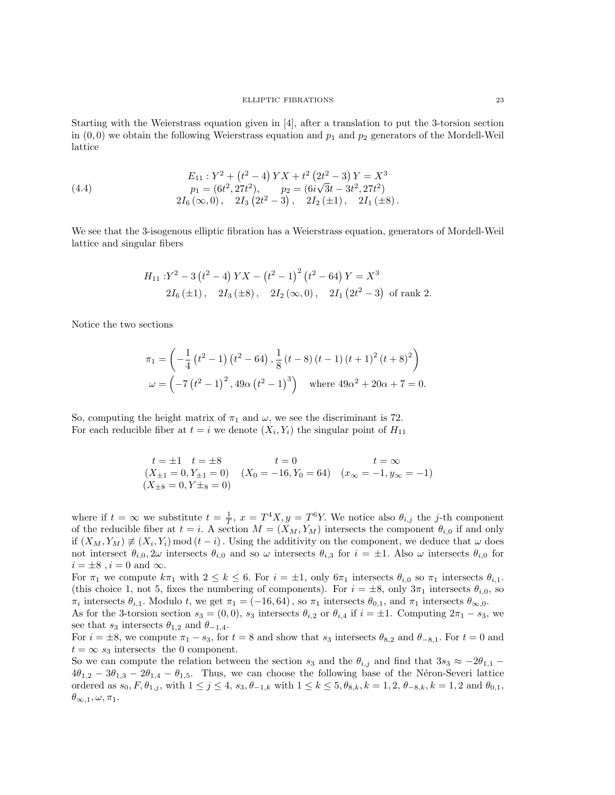Starting with the Weierstrass equation given in [4], after a translation to put the 3-torsion section in  $(0,0)$  we obtain the following Weierstrass equation and  $p_1$  and  $p_2$  generators of the Mordell-Weil lattice

(4.4) 
$$
E_{11}: Y^2 + (t^2 - 4) YX + t^2 (2t^2 - 3) Y = X^3
$$

$$
p_1 = (6t^2, 27t^2), \qquad p_2 = (6i\sqrt{3}t - 3t^2, 27t^2)
$$

$$
2I_6 (\infty, 0), \quad 2I_3 (2t^2 - 3), \quad 2I_2 (\pm 1), \quad 2I_1 (\pm 8).
$$

We see that the 3-isogenous elliptic fibration has a Weierstrass equation, generators of Mordell-Weil lattice and singular fibers

$$
H_{11} : Y^2 - 3(t^2 - 4) YX - (t^2 - 1)^2(t^2 - 64) Y = X^3
$$
  
2I<sub>6</sub>(±1), 2I<sub>3</sub>(±8), 2I<sub>2</sub>(∞,0), 2I<sub>1</sub>(2t<sup>2</sup> – 3) of rank 2.

Notice the two sections

$$
\pi_1 = \left(-\frac{1}{4} \left(t^2 - 1\right) \left(t^2 - 64\right), \frac{1}{8} \left(t - 8\right) \left(t - 1\right) \left(t + 1\right)^2 \left(t + 8\right)^2\right)
$$
  

$$
\omega = \left(-7 \left(t^2 - 1\right)^2, 49\alpha \left(t^2 - 1\right)^3\right) \text{ where } 49\alpha^2 + 20\alpha + 7 = 0.
$$

So, computing the height matrix of  $\pi_1$  and  $\omega$ , we see the discriminant is 72. For each reducible fiber at  $t = i$  we denote  $(X_i, Y_i)$  the singular point of  $H_{11}$ 

$$
t = \pm 1 \quad t = \pm 8 \qquad t = 0 \qquad t = \infty
$$
  
(X<sub>±1</sub> = 0, Y<sub>±1</sub> = 0) (X<sub>0</sub> = -16, Y<sub>0</sub> = 64) (x<sub>\infty</sub> = -1, y<sub>\infty</sub> = -1)  
(X<sub>±8</sub> = 0, Y<sub>±8</sub> = 0)

where if  $t = \infty$  we substitute  $t = \frac{1}{T}$ ,  $x = T^4 X$ ,  $y = T^6 Y$ . We notice also  $\theta_{i,j}$  the j-th component of the reducible fiber at  $t = i$ . A section  $M = (X_M, Y_M)$  intersects the component  $\theta_{i,0}$  if and only if  $(X_M, Y_M) \neq (X_i, Y_i) \mod (t - i)$ . Using the additivity on the component, we deduce that  $\omega$  does not intersect  $\theta_{i,0}$ ,  $2\omega$  intersects  $\theta_{i,0}$  and so  $\omega$  intersects  $\theta_{i,3}$  for  $i = \pm 1$ . Also  $\omega$  intersects  $\theta_{i,0}$  for  $i = \pm 8$ ,  $i = 0$  and  $\infty$ .

For  $\pi_1$  we compute  $k\pi_1$  with  $2 \leq k \leq 6$ . For  $i = \pm 1$ , only  $6\pi_1$  intersects  $\theta_{i,0}$  so  $\pi_1$  intersects  $\theta_{i,1}$ . (this choice 1, not 5, fixes the numbering of components). For  $i = \pm 8$ , only  $3\pi_1$  intersects  $\theta_{i,0}$ , so  $\pi_i$  intersects  $\theta_{i,1}$ . Modulo t, we get  $\pi_1 = (-16, 64)$ , so  $\pi_1$  intersects  $\theta_{0,1}$ , and  $\pi_1$  intersects  $\theta_{\infty,0}$ .

As for the 3-torsion section  $s_3 = (0,0)$ ,  $s_3$  intersects  $\theta_{i,2}$  or  $\theta_{i,4}$  if  $i = \pm 1$ . Computing  $2\pi_1 - s_3$ , we see that  $s_3$  intersects  $\theta_{1,2}$  and  $\theta_{-1,4}$ .

For  $i = \pm 8$ , we compute  $\pi_1 - s_3$ , for  $t = 8$  and show that  $s_3$  intersects  $\theta_{8,2}$  and  $\theta_{-8,1}$ . For  $t = 0$  and  $t = \infty$  s<sub>3</sub> intersects the 0 component.

So we can compute the relation between the section  $s_3$  and the  $\theta_{i,j}$  and find that  $3s_3 \approx -2\theta_{1,1}$  –  $4\theta_{1,2} - 3\theta_{1,3} - 2\theta_{1,4} - \theta_{1,5}$ . Thus, we can choose the following base of the Néron-Severi lattice ordered as  $s_0, F, \theta_{1,j}$ , with  $1 \leq j \leq 4$ ,  $s_3, \theta_{-1,k}$  with  $1 \leq k \leq 5, \theta_{8,k}, k = 1, 2, \theta_{-8,k}, k = 1, 2$  and  $\theta_{0,1}$ ,  $\theta_{\infty,1}, \omega, \pi_1.$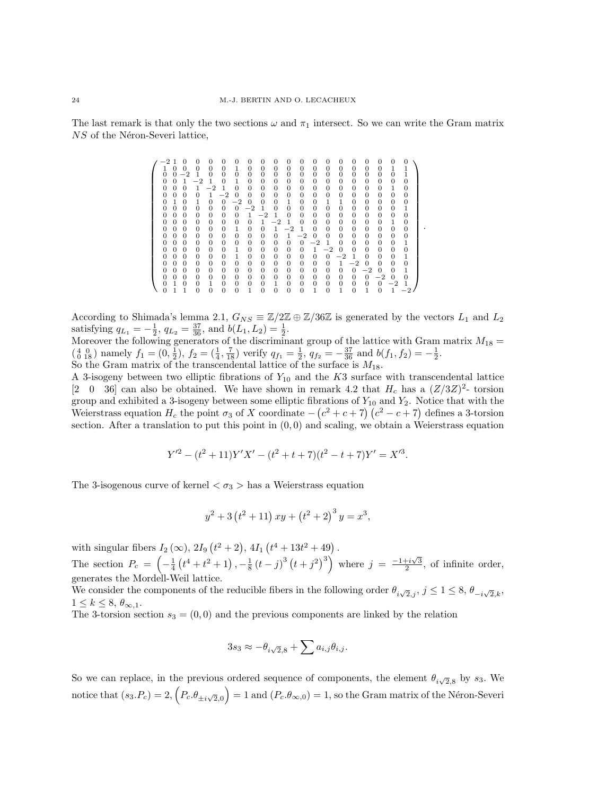The last remark is that only the two sections  $\omega$  and  $\pi_1$  intersect. So we can write the Gram matrix  $NS$  of the Néron-Severi lattice,

|  |          |          | O        | 0        | 0            |                |          | 0        | 0        | $\Omega$     | 0              |          | 0        | 0        | 0              |                |          | 0        | $\Omega$    | $\Omega$       |
|--|----------|----------|----------|----------|--------------|----------------|----------|----------|----------|--------------|----------------|----------|----------|----------|----------------|----------------|----------|----------|-------------|----------------|
|  |          | 0        | 0        | 0        | 0            | $\Omega$       | 1        | 0        | 0        | 0            | 0              | 0        | $\Omega$ | $\theta$ | 0              | 0              | 0        | 0        | 1           |                |
|  | $\Omega$ | 0        |          | 1        | 0            | $\Omega$       | $\Omega$ | $\Omega$ | $\Omega$ | $\Omega$     | $\Omega$       | 0        | $\Omega$ | $\Omega$ | 0              | $\Omega$       | 0        | $\Omega$ | $\Omega$    |                |
|  | $\Omega$ | 0        |          | -2       | 1            | $\Omega$       | 1        | $\Omega$ | $\Omega$ | $\Omega$     | 0              | 0        | $\Omega$ | $\Omega$ | 0              | 0              | 0        | $\Omega$ | $\Omega$    | 0              |
|  | $\Omega$ | 0        | 0        | 1        | $^{-2}$      | 1              | $\Omega$ | $\Omega$ | $\Omega$ | $\Omega$     | $\Omega$       | 0        | $\Omega$ | $\Omega$ | $\Omega$       | 0              | 0        | $\Omega$ | $\mathbf 1$ | $\Omega$       |
|  | 0        | $\Omega$ | 0        | $\Omega$ | 1            | $^{-2}$        | $\Omega$ | $\Omega$ | 0        | 0            | 0              | 0        | $\Omega$ | $\theta$ | 0              | 0              | 0        | 0        | $\Omega$    | 0              |
|  | $\Omega$ | 1        | $\Omega$ | 1        | 0            | $\Omega$       | $-2$     | $\Omega$ | $\Omega$ | $\Omega$     | 1              | 0        | $\Omega$ | 1        | 1              | 0              | 0        | $\Omega$ | $\Omega$    | 0              |
|  | 0        | $\Omega$ | 0        | $\Omega$ | 0            | $\Omega$       | $\Omega$ | -2       |          | $\Omega$     | $\overline{0}$ | $\Omega$ | $\Omega$ | $\Omega$ | $\overline{0}$ | $\overline{0}$ | 0        | $\Omega$ | $\Omega$    | 1              |
|  | 0        | $\Omega$ | $\Omega$ | $\Omega$ | 0            | 0              | $\Omega$ | 1        | $^{-2}$  | 1            | $\Omega$       | $\Omega$ | $\Omega$ | $\Omega$ | $\overline{0}$ | $\theta$       | 0        | 0        | $\Omega$    | $\overline{0}$ |
|  | 0        | $\Omega$ | $\Omega$ | 0        | 0            | 0              | $\Omega$ | $\Omega$ | 1        | $^{-2}$      | 1              | 0        | $\Omega$ | $\theta$ | 0              | $\theta$       | 0        | $\Omega$ | 1           | 0              |
|  | 0        | $\Omega$ | 0        | $\Omega$ | 0            | $\Omega$       | 1        | $\Omega$ | 0        | 1            | $-2$           | 1        | $\Omega$ | $\Omega$ | 0              | $\theta$       | 0        | 0        | $\Omega$    | 0              |
|  | 0        | $\Omega$ | 0        | $\Omega$ | 0            | $\Omega$       | $\Omega$ | $\Omega$ | $\Omega$ | $\Omega$     | 1              | $^{-2}$  | $\Omega$ | $\Omega$ | $\Omega$       | 0              | 0        | 0        | $\Omega$    | 0              |
|  | 0        | $\Omega$ | $\Omega$ | 0        | 0            | $\overline{0}$ | $\Omega$ | 0        | 0        | $\Omega$     | $\Omega$       | $\Omega$ | $^{-2}$  | 1        | $\Omega$       | $\theta$       | 0        | 0        | $\Omega$    | 1              |
|  | 0        | $\Omega$ | 0        | $\Omega$ | 0            | $\Omega$       | 1        | $\Omega$ | 0        | 0            | $\Omega$       | $\Omega$ | 1        | $^{-2}$  | 0              | $\Omega$       | 0        | $\Omega$ | $\Omega$    | $\overline{0}$ |
|  | 0        | $\Omega$ | $\Omega$ | $\Omega$ | $\theta$     | $\Omega$       | 1        | $\Omega$ | $\Omega$ | $\Omega$     | $\Omega$       | 0        | $\Omega$ | $\Omega$ | $-2$           | $\mathbf{1}$   | 0        | 0        | $\Omega$    | 1              |
|  | 0        | $\Omega$ | 0        | $\Omega$ | 0            | $\Omega$       | $\Omega$ | $\Omega$ | 0        | 0            | 0              | 0        | $\Omega$ | $\Omega$ | 1              | $^{-2}$        | $\Omega$ | $\Omega$ | $\Omega$    | $\overline{0}$ |
|  | 0        | $\Omega$ | $\Omega$ | 0        | 0            | 0              | $\Omega$ | 0        | $\theta$ | 0            | $\theta$       | 0        | 0        | $\theta$ | 0              | 0              | $^{-2}$  | $\Omega$ | 0           | 1              |
|  | 0        | 0        | 0        | 0        | 0            | 0              | $\Omega$ | 0        | 0        | 0            | 0              | 0        | $\Omega$ | $\theta$ | 0              | 0              | 0        | $-2$     | $\Omega$    | 0              |
|  | 0        |          | 0        | 0        | $\mathbf{1}$ | 0              | $\Omega$ | $\Omega$ | $\Omega$ | $\mathbf{1}$ | 0              | 0        | $\Omega$ | $\Omega$ | $\Omega$       | 0              | 0        | $\Omega$ | $-2$        | 1              |
|  | 0        |          |          | 0        | 0            | $\Omega$       | 0        |          | $\Omega$ | $\Omega$     | $\Omega$       | 0        |          | $\Omega$ | 1              | $\Omega$       |          |          |             |                |

.

According to Shimada's lemma 2.1,  $G_{NS} \equiv \mathbb{Z}/2\mathbb{Z} \oplus \mathbb{Z}/36\mathbb{Z}$  is generated by the vectors  $L_1$  and  $L_2$ satisfying  $q_{L_1} = -\frac{1}{2}$ ,  $q_{L_2} = \frac{37}{36}$ , and  $b(L_1, L_2) = \frac{1}{2}$ .

Moreover the following generators of the discriminant group of the lattice with Gram matrix  $M_{18} =$  $\left(\begin{smallmatrix} 4 & 0 \\ 0 & 18 \end{smallmatrix}\right)$  namely  $f_1 = \left(0, \frac{1}{2}\right), f_2 = \left(\frac{1}{4}, \frac{7}{18}\right)$  verify  $q_{f_1} = \frac{1}{2}, q_{f_2} = -\frac{37}{36}$  and  $b(f_1, f_2) = -\frac{1}{2}$ . So the Gram matrix of the transcendental lattice of the surface is  $M_{18}$ .

A 3-isogeny between two elliptic fibrations of  $Y_{10}$  and the K3 surface with transcendental lattice [2 0 36] can also be obtained. We have shown in remark 4.2 that  $H_c$  has a  $(Z/3Z)^2$ - torsion group and exhibited a 3-isogeny between some elliptic fibrations of  $Y_{10}$  and  $Y_2$ . Notice that with the Weierstrass equation  $H_c$  the point  $\sigma_3$  of X coordinate  $-(c^2+c+7)(c^2-c+7)$  defines a 3-torsion section. After a translation to put this point in  $(0,0)$  and scaling, we obtain a Weierstrass equation

$$
Y'^{2} - (t^{2} + 11)Y'X' - (t^{2} + t + 7)(t^{2} - t + 7)Y' = X'^{3}.
$$

The 3-isogenous curve of kernel  $\langle \sigma_3 \rangle$  has a Weierstrass equation

$$
y^{2} + 3(t^{2} + 11)xy + (t^{2} + 2)^{3}y = x^{3},
$$

with singular fibers  $I_2(\infty)$ ,  $2I_9(t^2+2)$ ,  $4I_1(t^4+13t^2+49)$ .

The section  $P_c = \left(-\frac{1}{4}\left(t^4+t^2+1\right), -\frac{1}{8}\left(t-j\right)^3\left(t+j^2\right)^3\right)$  where  $j = \frac{-1+i\sqrt{3}}{2}$ , of infinite order, generates the Mordell-Weil lattice.

We consider the components of the reducible fibers in the following order  $\theta_{i\sqrt{2},j}$ ,  $j \leq 1 \leq 8$ ,  $\theta_{-i\sqrt{2},k}$ ,  $1 \leq k \leq 8, \theta_{\infty,1}$ .

The 3-torsion section  $s_3 = (0,0)$  and the previous components are linked by the relation

$$
3s_3\approx -\theta_{i\sqrt{2},8}+\sum a_{i,j}\theta_{i,j}.
$$

So we can replace, in the previous ordered sequence of components, the element  $\theta_{i\sqrt{2},8}$  by  $s_3$ . We notice that  $(s_3.P_c) = 2, (P_c.\theta_{\pm i\sqrt{2},0}) = 1$  and  $(P_c.\theta_{\infty,0}) = 1$ , so the Gram matrix of the Néron-Severi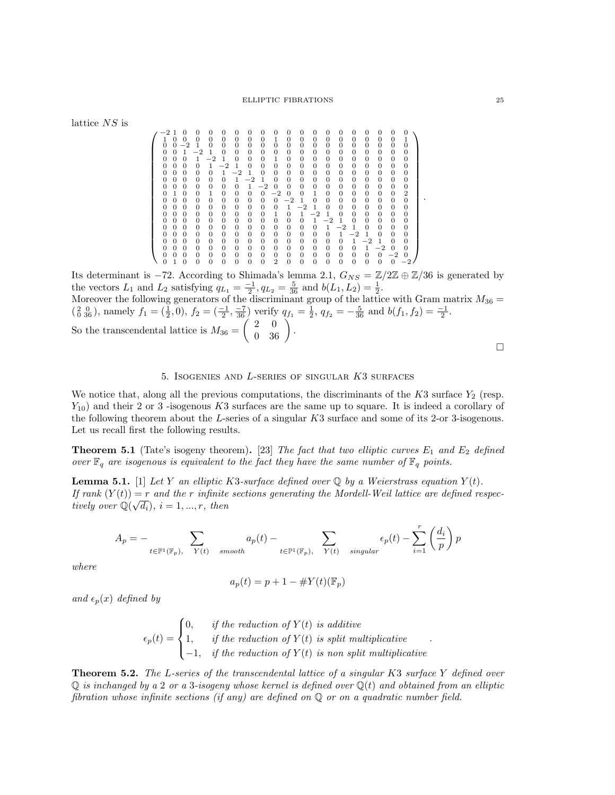#### ELLIPTIC FIBRATIONS 25

lattice  ${\cal NS}$  is

 −2 1 0 0 0 0 0 0 0 0 0 0 0 0 0 0 0 0 0 0 1 0 0 0 0 0 0 0 0 1 0 0 0 0 0 0 0 0 0 1 0 0 −2 1 0 0 0 0 0 0 0 0 0 0 0 0 0 0 0 0 0 0 1 −2 1 0 0 0 0 0 0 0 0 0 0 0 0 0 0 0 0 0 0 1 −2 1 0 0 0 1 0 0 0 0 0 0 0 0 0 0 0 0 0 0 1 −2 1 0 0 0 0 0 0 0 0 0 0 0 0 0 0 0 0 0 0 1 −2 1 0 0 0 0 0 0 0 0 0 0 0 0 0 0 0 0 0 0 1 −2 1 0 0 0 0 0 0 0 0 0 0 0 0 0 0 0 0 0 0 1 −2 0 0 0 0 0 0 0 0 0 0 0 0 1 0 0 1 0 0 0 0 −2 0 0 1 0 0 0 0 0 0 2 0 0 0 0 0 0 0 0 0 0 −2 1 0 0 0 0 0 0 0 0 0 0 0 0 0 0 0 0 0 0 1 −2 1 0 0 0 0 0 0 0 0 0 0 0 0 0 0 0 0 1 0 1 −2 1 0 0 0 0 0 0 0 0 0 0 0 0 0 0 0 0 0 0 1 −2 1 0 0 0 0 0 0 0 0 0 0 0 0 0 0 0 0 0 0 1 −2 1 0 0 0 0 0 0 0 0 0 0 0 0 0 0 0 0 0 0 1 −2 1 0 0 0 0 0 0 0 0 0 0 0 0 0 0 0 0 0 0 1 −2 1 0 0 0 0 0 0 0 0 0 0 0 0 0 0 0 0 0 0 1 −2 0 0 0 0 0 0 0 0 0 0 0 0 0 0 0 0 0 0 0 0 −2 0 0 1 0 0 0 0 0 0 0 2 0 0 0 0 0 0 0 0 0 −2 

Its determinant is −72. According to Shimada's lemma 2.1,  $G_{NS} = \mathbb{Z}/2\mathbb{Z} \oplus \mathbb{Z}/36$  is generated by the vectors  $L_1$  and  $L_2$  satisfying  $q_{L_1} = \frac{-1}{2}$ ,  $q_{L_2} = \frac{5}{36}$  and  $b(L_1, L_2) = \frac{1}{2}$ .

Moreover the following generators of the discriminant group of the lattice with Gram matrix  $M_{36} =$  $\left(\begin{smallmatrix} 2 & 0 \\ 0 & 36 \end{smallmatrix}\right)$ , namely  $f_1 = \left(\frac{1}{2}, 0\right)$ ,  $f_2 = \left(\frac{-1}{2}, \frac{-7}{36}\right)$  verify  $q_{f_1} = \frac{1}{2}$ ,  $q_{f_2} = -\frac{5}{36}$  and  $b(f_1, f_2) = \frac{-1}{2}$ . So the transcendental lattice is  $M_{36} = \begin{pmatrix} 2 & 0 \\ 0 & 36 \end{pmatrix}$ .

 $\Box$ 

# 5. Isogenies and L-series of singular K3 surfaces

We notice that, along all the previous computations, the discriminants of the  $K3$  surface  $Y_2$  (resp.  $Y_{10}$ ) and their 2 or 3 -isogenous K3 surfaces are the same up to square. It is indeed a corollary of the following theorem about the L-series of a singular K3 surface and some of its 2-or 3-isogenous. Let us recall first the following results.

**Theorem 5.1** (Tate's isogeny theorem). [23] The fact that two elliptic curves  $E_1$  and  $E_2$  defined over  $\mathbb{F}_q$  are isogenous is equivalent to the fact they have the same number of  $\mathbb{F}_q$  points.

**Lemma 5.1.** [1] Let Y an elliptic K3-surface defined over Q by a Weierstrass equation  $Y(t)$ . If rank  $(Y(t)) = r$  and the r infinite sections generating the Mordell-Weil lattice are defined respectively over  $\mathbb{Q}(\sqrt{d_i}), i = 1, ..., r$ , then

$$
A_p = - \sum_{t \in \mathbb{P}^1(\mathbb{F}_p),\quad Y(t) \quad smooth} a_p(t) - \sum_{t \in \mathbb{P}^1(\mathbb{F}_p),\quad Y(t) \quad singular} \epsilon_p(t) - \sum_{i=1}^r \left(\frac{d_i}{p}\right) p
$$

where

$$
a_p(t) = p + 1 - \# Y(t)(\mathbb{F}_p)
$$

and  $\epsilon_n(x)$  defined by

$$
\epsilon_p(t) = \begin{cases} 0, & if the \; reduction \; of \; Y(t) \; is \; additive \\ 1, & if \; the \; reduction \; of \; Y(t) \; is \; split \; multiplicative \\ -1, & if \; the \; reduction \; of \; Y(t) \; is \; non \; split \; multiplicative \end{cases}
$$

**Theorem 5.2.** The L-series of the transcendental lattice of a singular K3 surface Y defined over  $\mathbb Q$  is inchanged by a 2 or a 3-isogeny whose kernel is defined over  $\mathbb Q(t)$  and obtained from an elliptic fibration whose infinite sections (if any) are defined on  $\mathbb Q$  or on a quadratic number field.

.

.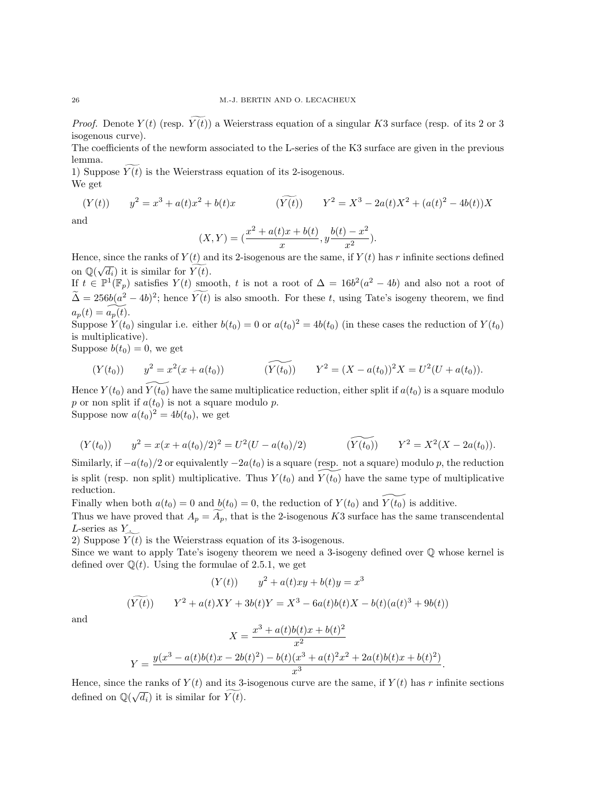*Proof.* Denote  $Y(t)$  (resp.  $\widetilde{Y(t)}$ ) a Weierstrass equation of a singular K3 surface (resp. of its 2 or 3 isogenous curve).

The coefficients of the newform associated to the L-series of the K3 surface are given in the previous lemma.

1) Suppose  $Y(t)$  is the Weierstrass equation of its 2-isogenous. We get

$$
(Y(t)) \t y2 = x3 + a(t)x2 + b(t)x \t (Y(t)) \t Y2 = X3 - 2a(t)X2 + (a(t)2 - 4b(t))X
$$

and

$$
(X,Y) = \left(\frac{x^2 + a(t)x + b(t)}{x}, y\frac{b(t) - x^2}{x^2}\right).
$$

Hence, since the ranks of  $Y(t)$  and its 2-isogenous are the same, if  $Y(t)$  has r infinite sections defined on  $\mathbb{Q}(\sqrt{d_i})$  it is similar for  $\widehat{Y(t)}$ .

If  $t \in \mathbb{P}^1(\mathbb{F}_p)$  satisfies  $Y(t)$  smooth, t is not a root of  $\Delta = 16b^2(a^2 - 4b)$  and also not a root of  $\tilde{\Delta} = 256b(a^2 - 4b)^2$ ; hence  $Y(t)$  is also smooth. For these t, using Tate's isogeny theorem, we find  $a_p(t) = a_p(t)$ .

Suppose  $Y(t_0)$  singular i.e. either  $b(t_0) = 0$  or  $a(t_0)^2 = 4b(t_0)$  (in these cases the reduction of  $Y(t_0)$ is multiplicative).

Suppose  $b(t_0) = 0$ , we get

$$
(Y(t_0)) \qquad y^2 = x^2(x + a(t_0)) \qquad (\widetilde{Y(t_0)}) \qquad Y^2 = (X - a(t_0))^2 X = U^2(U + a(t_0)).
$$

Hence  $Y(t_0)$  and  $Y(t_0)$  have the same multiplicatice reduction, either split if  $a(t_0)$  is a square modulo p or non split if  $a(t_0)$  is not a square modulo p. Suppose now  $a(t_0)^2 = 4b(t_0)$ , we get

$$
(Y(t_0)) \t y^2 = x(x + a(t_0)/2)^2 = U^2(U - a(t_0)/2) \t (Y(t_0)) \t Y^2 = X^2(X - 2a(t_0)).
$$

Similarly, if  $-a(t_0)/2$  or equivalently  $-2a(t_0)$  is a square (resp. not a square) modulo p, the reduction is split (resp. non split) multiplicative. Thus  $Y(t_0)$  and  $Y(t_0)$  have the same type of multiplicative reduction.

Finally when both  $a(t_0) = 0$  and  $b(t_0) = 0$ , the reduction of  $Y(t_0)$  and  $\overline{Y(t_0)}$  is additive.

Thus we have proved that  $A_p = A_p$ , that is the 2-isogenous K3 surface has the same transcendental  $L$ -series as  $Y$ .

2) Suppose  $Y(t)$  is the Weierstrass equation of its 3-isogenous.

Since we want to apply Tate's isogeny theorem we need a 3-isogeny defined over  $\mathbb Q$  whose kernel is defined over  $\mathbb{Q}(t)$ . Using the formulae of 2.5.1, we get

$$
(Y(t)) \t y2 + a(t)xy + b(t)y = x3
$$
  

$$
(Y(t)) \t Y2 + a(t)XY + 3b(t)Y = X3 - 6a(t)b(t)X - b(t)(a(t)3 + 9b(t))
$$

and

$$
X = \frac{x^3 + a(t)b(t)x + b(t)^2}{x^2}
$$
  

$$
Y = \frac{y(x^3 - a(t)b(t)x - 2b(t)^2) - b(t)(x^3 + a(t)^2x^2 + 2a(t)b(t)x + b(t)^2)}{x^3}.
$$

Hence, since the ranks of  $Y(t)$  and its 3-isogenous curve are the same, if  $Y(t)$  has r infinite sections defined on  $\mathbb{Q}(\sqrt{d_i})$  it is similar for  $\widetilde{Y(t)}$ .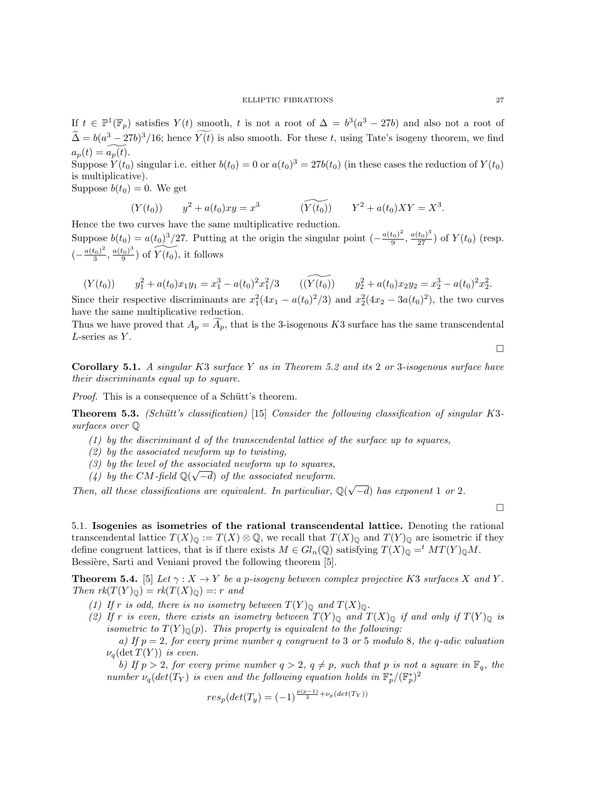If  $t \in \mathbb{P}^1(\mathbb{F}_p)$  satisfies  $Y(t)$  smooth, t is not a root of  $\Delta = b^3(a^3 - 27b)$  and also not a root of  $\tilde{\Delta} = b(a^3 - 27b)^3/16$ ; hence  $Y(t)$  is also smooth. For these t, using Tate's isogeny theorem, we find  $a_p(t) = a_p(t)$ .

Suppose  $Y(t_0)$  singular i.e. either  $b(t_0) = 0$  or  $a(t_0)^3 = 27b(t_0)$  (in these cases the reduction of  $Y(t_0)$ ) is multiplicative).

Suppose  $b(t_0) = 0$ . We get

$$
(Y(t_0)) \t y^2 + a(t_0)xy = x^3 \t (Y(t_0)) \t Y^2 + a(t_0)XY = X^3.
$$

Hence the two curves have the same multiplicative reduction. Suppose  $b(t_0) = a(t_0)^3/27$ . Putting at the origin the singular point  $\left(-\frac{a(t_0)^2}{9}\right)$  $\frac{(t_0)^2}{9}, \frac{a(t_0)^3}{27})$  of  $Y(t_0)$  (resp.  $\left(-\frac{a(t_0)^2}{3}\right)$  $\frac{(t_0)^2}{3}, \frac{a(t_0)^3}{9}$  $\widetilde{\frac{t_0}{9}}$  of  $\widetilde{Y(t_0)}$ , it follows

$$
(Y(t_0)) \t y_1^2 + a(t_0)x_1y_1 = x_1^3 - a(t_0)^2x_1^2/3 \t ((\widetilde{Y(t_0)}) \t y_2^2 + a(t_0)x_2y_2 = x_2^3 - a(t_0)^2x_2^2.
$$

Since their respective discriminants are  $x_1^2(4x_1 - a(t_0)^2/3)$  and  $x_2^2(4x_2 - 3a(t_0)^2)$ , the two curves have the same multiplicative reduction.

Thus we have proved that  $A_p = A_p$ , that is the 3-isogenous K3 surface has the same transcendental  $L$ -series as  $Y$ .

 $\Box$ 

**Corollary 5.1.** A singular K3 surface Y as in Theorem 5.2 and its 2 or 3-isogenous surface have their discriminants equal up to square.

*Proof.* This is a consequence of a Schütt's theorem.

**Theorem 5.3.** (Schütt's classification) [15] Consider the following classification of singular K3surfaces over Q

- $(1)$  by the discriminant d of the transcendental lattice of the surface up to squares,
- (2) by the associated newform up to twisting,
- (3) by the level of the associated newform up to squares,
- (4) by the CM-field  $\mathbb{Q}(\sqrt{-d})$  of the associated newform.

Then, all these classifications are equivalent. In particuliar,  $\mathbb{Q}(\sqrt{n})$  $(-d)$  has exponent 1 or 2.

 $\Box$ 

5.1. Isogenies as isometries of the rational transcendental lattice. Denoting the rational transcendental lattice  $T(X)_{\mathbb{Q}} := T(X) \otimes \mathbb{Q}$ , we recall that  $T(X)_{\mathbb{Q}}$  and  $T(Y)_{\mathbb{Q}}$  are isometric if they define congruent lattices, that is if there exists  $M \in Gl_n(\mathbb{Q})$  satisfying  $T(X)_{\mathbb{Q}} = M^t(T(Y)_{\mathbb{Q}}M)$ . Bessière, Sarti and Veniani proved the following theorem [5].

**Theorem 5.4.** [5] Let  $\gamma : X \to Y$  be a p-isogeny between complex projective K3 surfaces X and Y. Then  $rk(T(Y)_{\mathbb{Q}}) = rk(T(X)_{\mathbb{Q}}) =: r$  and

- (1) If r is odd, there is no isometry between  $T(Y)_{\mathbb{Q}}$  and  $T(X)_{\mathbb{Q}}$ .
- (2) If r is even, there exists an isometry between  $T(Y)_{\mathbb{Q}}$  and  $T(X)_{\mathbb{Q}}$  if and only if  $T(Y)_{\mathbb{Q}}$  is isometric to  $T(Y)_{\mathbb{Q}}(p)$ . This property is equivalent to the following:
	- a) If  $p = 2$ , for every prime number q congruent to 3 or 5 modulo 8, the q-adic valuation  $\nu_q(\det T(Y))$  is even.

b) If  $p > 2$ , for every prime number  $q > 2$ ,  $q \neq p$ , such that p is not a square in  $\mathbb{F}_q$ , the number  $\nu_q(det(T_Y)$  is even and the following equation holds in  $\mathbb{F}_p^*/(\mathbb{F}_p^*)^2$ 

$$
res_p(det(T_y) = (-1)^{\frac{p(p-1)}{2} + \nu_p(det(T_Y))}
$$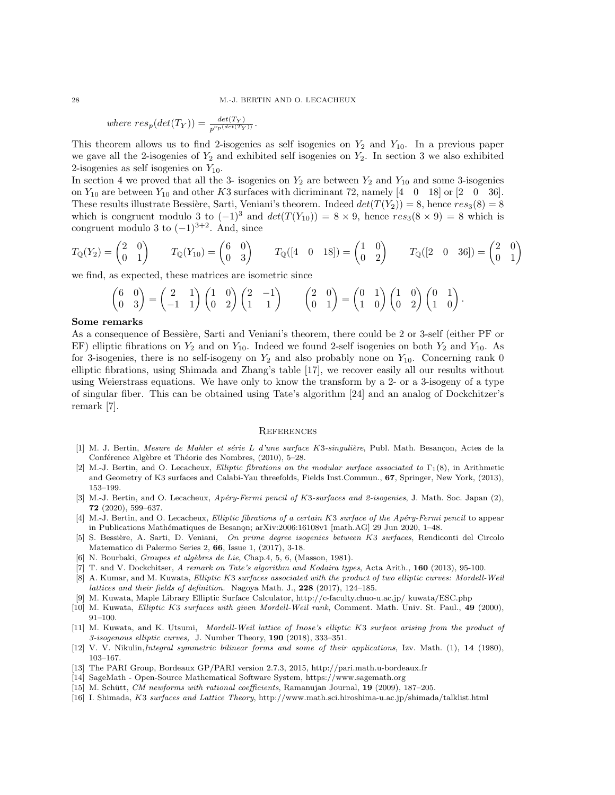where 
$$
res_p(det(T_Y)) = \frac{det(T_Y)}{p^{\nu_p(det(T_Y))}}
$$
.

This theorem allows us to find 2-isogenies as self isogenies on  $Y_2$  and  $Y_{10}$ . In a previous paper we gave all the 2-isogenies of  $Y_2$  and exhibited self isogenies on  $Y_2$ . In section 3 we also exhibited 2-isogenies as self isogenies on  $Y_{10}$ .

In section 4 we proved that all the 3- isogenies on  $Y_2$  are between  $Y_2$  and  $Y_{10}$  and some 3-isogenies on  $Y_{10}$  are between  $Y_{10}$  and other K3 surfaces with dicriminant 72, namely  $\begin{bmatrix} 4 & 0 & 18 \end{bmatrix}$  or  $\begin{bmatrix} 2 & 0 & 36 \end{bmatrix}$ . These results illustrate Bessière, Sarti, Veniani's theorem. Indeed  $det(T(Y_2)) = 8$ , hence  $res_3(8) = 8$ which is congruent modulo 3 to  $(-1)^3$  and  $det(T(Y_{10})) = 8 \times 9$ , hence  $res_3(8 \times 9) = 8$  which is congruent modulo 3 to  $(-1)^{3+2}$ . And, since

$$
T_{\mathbb{Q}}(Y_2) = \begin{pmatrix} 2 & 0 \\ 0 & 1 \end{pmatrix} \qquad T_{\mathbb{Q}}(Y_{10}) = \begin{pmatrix} 6 & 0 \\ 0 & 3 \end{pmatrix} \qquad T_{\mathbb{Q}}([4 \quad 0 \quad 18]) = \begin{pmatrix} 1 & 0 \\ 0 & 2 \end{pmatrix} \qquad T_{\mathbb{Q}}([2 \quad 0 \quad 36]) = \begin{pmatrix} 2 & 0 \\ 0 & 1 \end{pmatrix}
$$

we find, as expected, these matrices are isometric since

$$
\begin{pmatrix} 6 & 0 \ 0 & 3 \end{pmatrix} = \begin{pmatrix} 2 & 1 \ -1 & 1 \end{pmatrix} \begin{pmatrix} 1 & 0 \ 0 & 2 \end{pmatrix} \begin{pmatrix} 2 & -1 \ 1 & 1 \end{pmatrix} \qquad \begin{pmatrix} 2 & 0 \ 0 & 1 \end{pmatrix} = \begin{pmatrix} 0 & 1 \ 1 & 0 \end{pmatrix} \begin{pmatrix} 1 & 0 \ 0 & 2 \end{pmatrix} \begin{pmatrix} 0 & 1 \ 1 & 0 \end{pmatrix}.
$$

#### Some remarks

As a consequence of Bessière, Sarti and Veniani's theorem, there could be 2 or 3-self (either PF or EF) elliptic fibrations on  $Y_2$  and on  $Y_{10}$ . Indeed we found 2-self isogenies on both  $Y_2$  and  $Y_{10}$ . As for 3-isogenies, there is no self-isogeny on  $Y_2$  and also probably none on  $Y_{10}$ . Concerning rank 0 elliptic fibrations, using Shimada and Zhang's table [17], we recover easily all our results without using Weierstrass equations. We have only to know the transform by a 2- or a 3-isogeny of a type of singular fiber. This can be obtained using Tate's algorithm [24] and an analog of Dockchitzer's remark [7].

#### **REFERENCES**

- [1] M. J. Bertin, Mesure de Mahler et série L d'une surface K3-singulière, Publ. Math. Besançon, Actes de la Conférence Algèbre et Théorie des Nombres, (2010), 5–28.
- [2] M.-J. Bertin, and O. Lecacheux, Elliptic fibrations on the modular surface associated to  $\Gamma_1(8)$ , in Arithmetic and Geometry of K3 surfaces and Calabi-Yau threefolds, Fields Inst.Commun., 67, Springer, New York, (2013), 153–199.
- [3] M.-J. Bertin, and O. Lecacheux, Apéry-Fermi pencil of K3-surfaces and 2-isogenies, J. Math. Soc. Japan (2), 72 (2020), 599–637.
- [4] M.-J. Bertin, and O. Lecacheux, Elliptic fibrations of a certain K3 surface of the Apéry-Fermi pencil to appear in Publications Mathématiques de Besanon; arXiv:2006:16108v1 [math.AG] 29 Jun 2020, 1–48.
- [5] S. Bessi`ere, A. Sarti, D. Veniani, On prime degree isogenies between K3 surfaces, Rendiconti del Circolo Matematico di Palermo Series 2, 66, Issue 1, (2017), 3-18.
- [6] N. Bourbaki, Groupes et algèbres de Lie, Chap.4, 5, 6, (Masson, 1981).
- [7] T. and V. Dockchitser, A remark on Tate's algorithm and Kodaira types, Acta Arith., 160 (2013), 95-100.
- [8] A. Kumar, and M. Kuwata, Elliptic K3 surfaces associated with the product of two elliptic curves: Mordell-Weil lattices and their fields of definition. Nagoya Math. J., 228 (2017), 124-185.
- [9] M. Kuwata, Maple Library Elliptic Surface Calculator, http://c-faculty.chuo-u.ac.jp/ kuwata/ESC.php
- [10] M. Kuwata, Elliptic K3 surfaces with given Mordell-Weil rank, Comment. Math. Univ. St. Paul., 49 (2000), 91–100.
- [11] M. Kuwata, and K. Utsumi, Mordell-Weil lattice of Inose's elliptic K3 surface arising from the product of 3-isogenous elliptic curves, J. Number Theory, 190 (2018), 333–351.
- [12] V. V. Nikulin, *Integral symmetric bilinear forms and some of their applications*, Izv. Math. (1), 14 (1980), 103–167.
- [13] The PARI Group, Bordeaux GP/PARI version 2.7.3, 2015, http://pari.math.u-bordeaux.fr
- [14] SageMath Open-Source Mathematical Software System, https://www.sagemath.org
- [15] M. Schütt, CM newforms with rational coefficients, Ramanujan Journal, 19 (2009), 187-205.
- [16] I. Shimada, K3 surfaces and Lattice Theory, http://www.math.sci.hiroshima-u.ac.jp/shimada/talklist.html